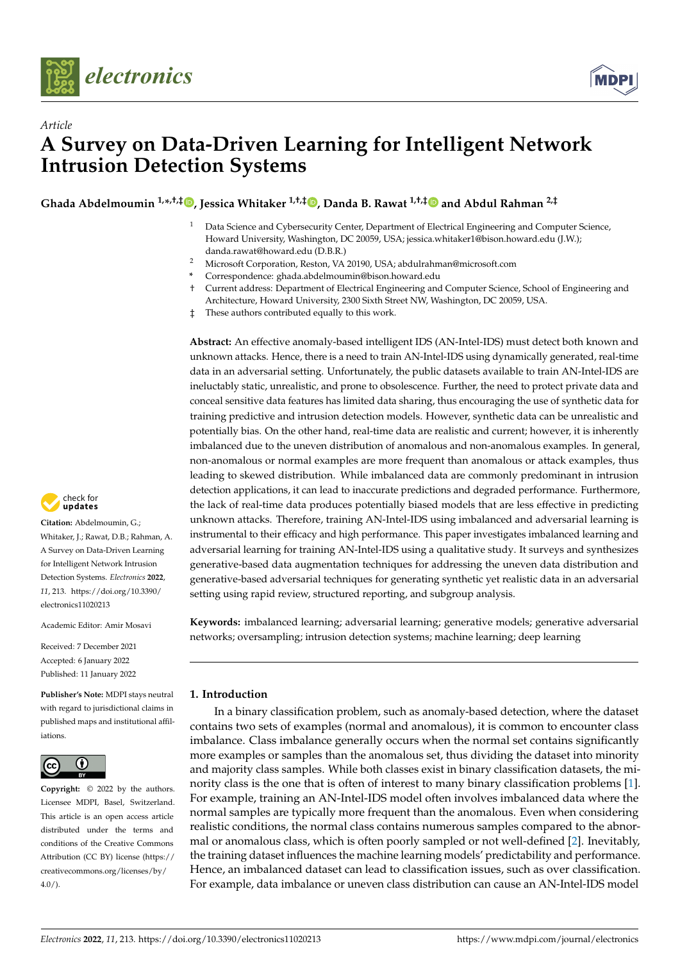



# *Article* **A Survey on Data-Driven Learning for Intelligent Network Intrusion Detection Systems**

**Ghada Abdelmoumin 1,\* ,†,‡ [,](https://orcid.org/0000-0001-9727-9527) Jessica Whitaker 1,†,‡ [,](https://orcid.org/0000-0003-0916-8099) Danda B. Rawat 1,†,[‡](https://orcid.org/0000-0003-3638-3464) and Abdul Rahman 2,‡**

- $1$  Data Science and Cybersecurity Center, Department of Electrical Engineering and Computer Science, Howard University, Washington, DC 20059, USA; jessica.whitaker1@bison.howard.edu (J.W.); danda.rawat@howard.edu (D.B.R.)
- <sup>2</sup> Microsoft Corporation, Reston, VA 20190, USA; abdulrahman@microsoft.com
- **\*** Correspondence: ghada.abdelmoumin@bison.howard.edu
- † Current address: Department of Electrical Engineering and Computer Science, School of Engineering and Architecture, Howard University, 2300 Sixth Street NW, Washington, DC 20059, USA.
- ‡ These authors contributed equally to this work.

**Abstract:** An effective anomaly-based intelligent IDS (AN-Intel-IDS) must detect both known and unknown attacks. Hence, there is a need to train AN-Intel-IDS using dynamically generated, real-time data in an adversarial setting. Unfortunately, the public datasets available to train AN-Intel-IDS are ineluctably static, unrealistic, and prone to obsolescence. Further, the need to protect private data and conceal sensitive data features has limited data sharing, thus encouraging the use of synthetic data for training predictive and intrusion detection models. However, synthetic data can be unrealistic and potentially bias. On the other hand, real-time data are realistic and current; however, it is inherently imbalanced due to the uneven distribution of anomalous and non-anomalous examples. In general, non-anomalous or normal examples are more frequent than anomalous or attack examples, thus leading to skewed distribution. While imbalanced data are commonly predominant in intrusion detection applications, it can lead to inaccurate predictions and degraded performance. Furthermore, the lack of real-time data produces potentially biased models that are less effective in predicting unknown attacks. Therefore, training AN-Intel-IDS using imbalanced and adversarial learning is instrumental to their efficacy and high performance. This paper investigates imbalanced learning and adversarial learning for training AN-Intel-IDS using a qualitative study. It surveys and synthesizes generative-based data augmentation techniques for addressing the uneven data distribution and generative-based adversarial techniques for generating synthetic yet realistic data in an adversarial setting using rapid review, structured reporting, and subgroup analysis.

**Keywords:** imbalanced learning; adversarial learning; generative models; generative adversarial networks; oversampling; intrusion detection systems; machine learning; deep learning

# **1. Introduction**

In a binary classification problem, such as anomaly-based detection, where the dataset contains two sets of examples (normal and anomalous), it is common to encounter class imbalance. Class imbalance generally occurs when the normal set contains significantly more examples or samples than the anomalous set, thus dividing the dataset into minority and majority class samples. While both classes exist in binary classification datasets, the minority class is the one that is often of interest to many binary classification problems [\[1\]](#page-20-0). For example, training an AN-Intel-IDS model often involves imbalanced data where the normal samples are typically more frequent than the anomalous. Even when considering realistic conditions, the normal class contains numerous samples compared to the abnormal or anomalous class, which is often poorly sampled or not well-defined [\[2\]](#page-20-1). Inevitably, the training dataset influences the machine learning models' predictability and performance. Hence, an imbalanced dataset can lead to classification issues, such as over classification. For example, data imbalance or uneven class distribution can cause an AN-Intel-IDS model



**Citation:** Abdelmoumin, G.; Whitaker, J.; Rawat, D.B.; Rahman, A. A Survey on Data-Driven Learning for Intelligent Network Intrusion Detection Systems. *Electronics* **2022**, *11*, 213. [https://doi.org/10.3390/](https://doi.org/10.3390/electronics11020213) [electronics11020213](https://doi.org/10.3390/electronics11020213)

Academic Editor: Amir Mosavi

Received: 7 December 2021 Accepted: 6 January 2022 Published: 11 January 2022

**Publisher's Note:** MDPI stays neutral with regard to jurisdictional claims in published maps and institutional affiliations.



**Copyright:** © 2022 by the authors. Licensee MDPI, Basel, Switzerland. This article is an open access article distributed under the terms and conditions of the Creative Commons Attribution (CC BY) license [\(https://](https://creativecommons.org/licenses/by/4.0/) [creativecommons.org/licenses/by/](https://creativecommons.org/licenses/by/4.0/)  $4.0/$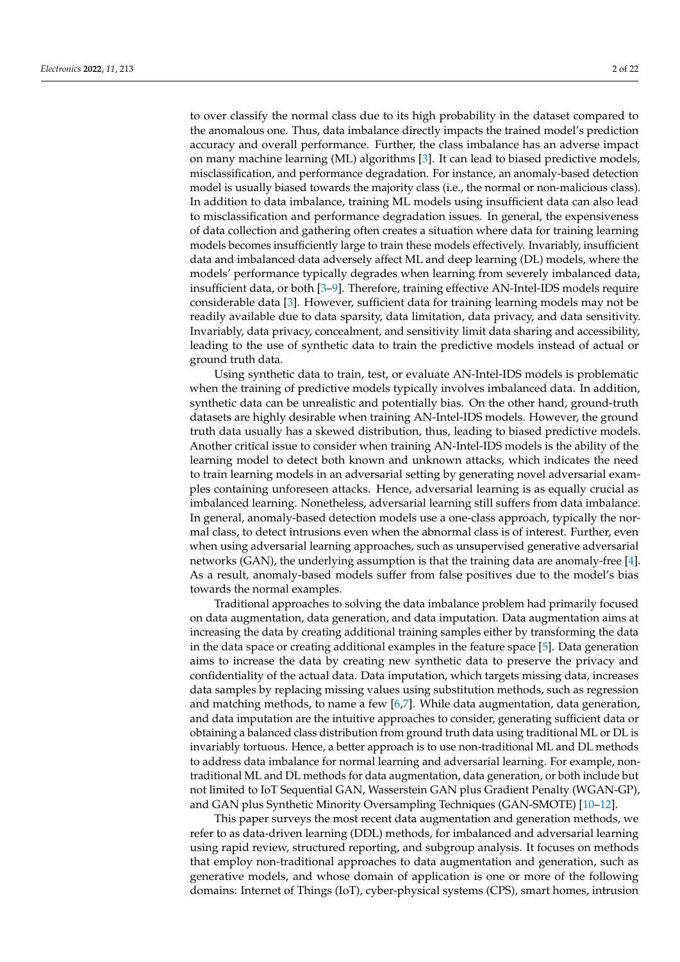to over classify the normal class due to its high probability in the dataset compared to the anomalous one. Thus, data imbalance directly impacts the trained model's prediction accuracy and overall performance. Further, the class imbalance has an adverse impact on many machine learning (ML) algorithms [\[3\]](#page-20-2). It can lead to biased predictive models, misclassification, and performance degradation. For instance, an anomaly-based detection model is usually biased towards the majority class (i.e., the normal or non-malicious class). In addition to data imbalance, training ML models using insufficient data can also lead to misclassification and performance degradation issues. In general, the expensiveness of data collection and gathering often creates a situation where data for training learning models becomes insufficiently large to train these models effectively. Invariably, insufficient data and imbalanced data adversely affect ML and deep learning (DL) models, where the models' performance typically degrades when learning from severely imbalanced data, insufficient data, or both [\[3–](#page-20-2)[9\]](#page-20-3). Therefore, training effective AN-Intel-IDS models require considerable data [\[3\]](#page-20-2). However, sufficient data for training learning models may not be readily available due to data sparsity, data limitation, data privacy, and data sensitivity. Invariably, data privacy, concealment, and sensitivity limit data sharing and accessibility, leading to the use of synthetic data to train the predictive models instead of actual or ground truth data.

Using synthetic data to train, test, or evaluate AN-Intel-IDS models is problematic when the training of predictive models typically involves imbalanced data. In addition, synthetic data can be unrealistic and potentially bias. On the other hand, ground-truth datasets are highly desirable when training AN-Intel-IDS models. However, the ground truth data usually has a skewed distribution, thus, leading to biased predictive models. Another critical issue to consider when training AN-Intel-IDS models is the ability of the learning model to detect both known and unknown attacks, which indicates the need to train learning models in an adversarial setting by generating novel adversarial examples containing unforeseen attacks. Hence, adversarial learning is as equally crucial as imbalanced learning. Nonetheless, adversarial learning still suffers from data imbalance. In general, anomaly-based detection models use a one-class approach, typically the normal class, to detect intrusions even when the abnormal class is of interest. Further, even when using adversarial learning approaches, such as unsupervised generative adversarial networks (GAN), the underlying assumption is that the training data are anomaly-free [\[4\]](#page-20-4). As a result, anomaly-based models suffer from false positives due to the model's bias towards the normal examples.

Traditional approaches to solving the data imbalance problem had primarily focused on data augmentation, data generation, and data imputation. Data augmentation aims at increasing the data by creating additional training samples either by transforming the data in the data space or creating additional examples in the feature space [\[5\]](#page-20-5). Data generation aims to increase the data by creating new synthetic data to preserve the privacy and confidentiality of the actual data. Data imputation, which targets missing data, increases data samples by replacing missing values using substitution methods, such as regression and matching methods, to name a few [\[6](#page-20-6)[,7\]](#page-20-7). While data augmentation, data generation, and data imputation are the intuitive approaches to consider, generating sufficient data or obtaining a balanced class distribution from ground truth data using traditional ML or DL is invariably tortuous. Hence, a better approach is to use non-traditional ML and DL methods to address data imbalance for normal learning and adversarial learning. For example, nontraditional ML and DL methods for data augmentation, data generation, or both include but not limited to IoT Sequential GAN, Wasserstein GAN plus Gradient Penalty (WGAN-GP), and GAN plus Synthetic Minority Oversampling Techniques (GAN-SMOTE) [\[10](#page-20-8)[–12\]](#page-20-9).

This paper surveys the most recent data augmentation and generation methods, we refer to as data-driven learning (DDL) methods, for imbalanced and adversarial learning using rapid review, structured reporting, and subgroup analysis. It focuses on methods that employ non-traditional approaches to data augmentation and generation, such as generative models, and whose domain of application is one or more of the following domains: Internet of Things (IoT), cyber-physical systems (CPS), smart homes, intrusion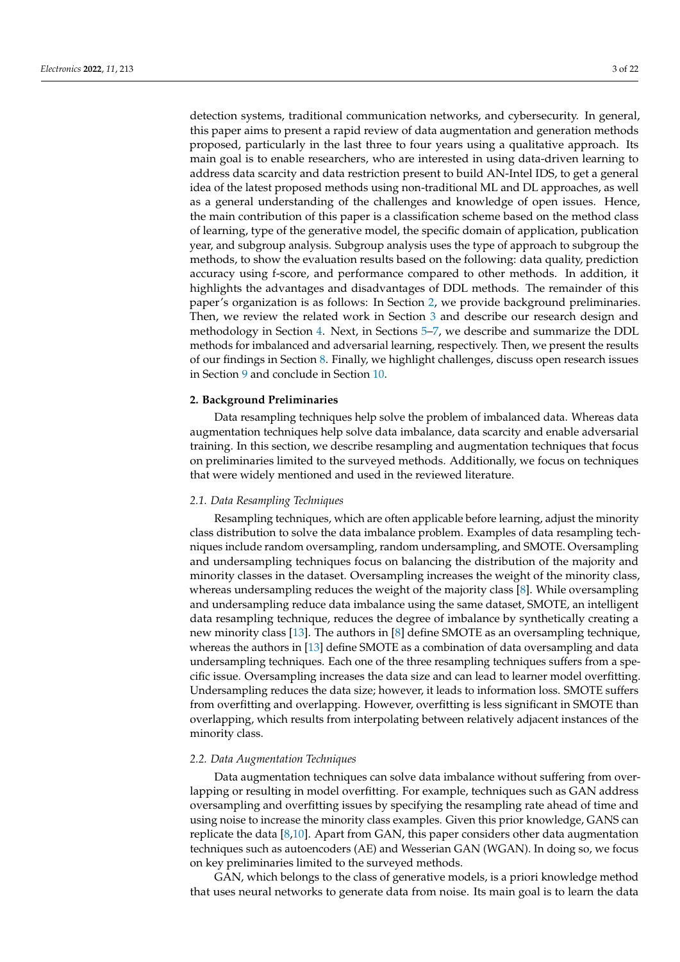detection systems, traditional communication networks, and cybersecurity. In general, this paper aims to present a rapid review of data augmentation and generation methods proposed, particularly in the last three to four years using a qualitative approach. Its main goal is to enable researchers, who are interested in using data-driven learning to address data scarcity and data restriction present to build AN-Intel IDS, to get a general idea of the latest proposed methods using non-traditional ML and DL approaches, as well as a general understanding of the challenges and knowledge of open issues. Hence, the main contribution of this paper is a classification scheme based on the method class of learning, type of the generative model, the specific domain of application, publication year, and subgroup analysis. Subgroup analysis uses the type of approach to subgroup the methods, to show the evaluation results based on the following: data quality, prediction accuracy using f-score, and performance compared to other methods. In addition, it highlights the advantages and disadvantages of DDL methods. The remainder of this paper's organization is as follows: In Section [2,](#page-2-0) we provide background preliminaries. Then, we review the related work in Section [3](#page-3-0) and describe our research design and methodology in Section [4.](#page-4-0) Next, in Sections [5](#page-8-0)[–7,](#page-16-0) we describe and summarize the DDL methods for imbalanced and adversarial learning, respectively. Then, we present the results of our findings in Section [8.](#page-17-0) Finally, we highlight challenges, discuss open research issues in Section [9](#page-18-0) and conclude in Section [10.](#page-19-0)

#### <span id="page-2-0"></span>**2. Background Preliminaries**

Data resampling techniques help solve the problem of imbalanced data. Whereas data augmentation techniques help solve data imbalance, data scarcity and enable adversarial training. In this section, we describe resampling and augmentation techniques that focus on preliminaries limited to the surveyed methods. Additionally, we focus on techniques that were widely mentioned and used in the reviewed literature.

#### *2.1. Data Resampling Techniques*

Resampling techniques, which are often applicable before learning, adjust the minority class distribution to solve the data imbalance problem. Examples of data resampling techniques include random oversampling, random undersampling, and SMOTE. Oversampling and undersampling techniques focus on balancing the distribution of the majority and minority classes in the dataset. Oversampling increases the weight of the minority class, whereas undersampling reduces the weight of the majority class [\[8\]](#page-20-10). While oversampling and undersampling reduce data imbalance using the same dataset, SMOTE, an intelligent data resampling technique, reduces the degree of imbalance by synthetically creating a new minority class [\[13\]](#page-20-11). The authors in [\[8\]](#page-20-10) define SMOTE as an oversampling technique, whereas the authors in [\[13\]](#page-20-11) define SMOTE as a combination of data oversampling and data undersampling techniques. Each one of the three resampling techniques suffers from a specific issue. Oversampling increases the data size and can lead to learner model overfitting. Undersampling reduces the data size; however, it leads to information loss. SMOTE suffers from overfitting and overlapping. However, overfitting is less significant in SMOTE than overlapping, which results from interpolating between relatively adjacent instances of the minority class.

#### *2.2. Data Augmentation Techniques*

Data augmentation techniques can solve data imbalance without suffering from overlapping or resulting in model overfitting. For example, techniques such as GAN address oversampling and overfitting issues by specifying the resampling rate ahead of time and using noise to increase the minority class examples. Given this prior knowledge, GANS can replicate the data [\[8](#page-20-10)[,10\]](#page-20-8). Apart from GAN, this paper considers other data augmentation techniques such as autoencoders (AE) and Wesserian GAN (WGAN). In doing so, we focus on key preliminaries limited to the surveyed methods.

GAN, which belongs to the class of generative models, is a priori knowledge method that uses neural networks to generate data from noise. Its main goal is to learn the data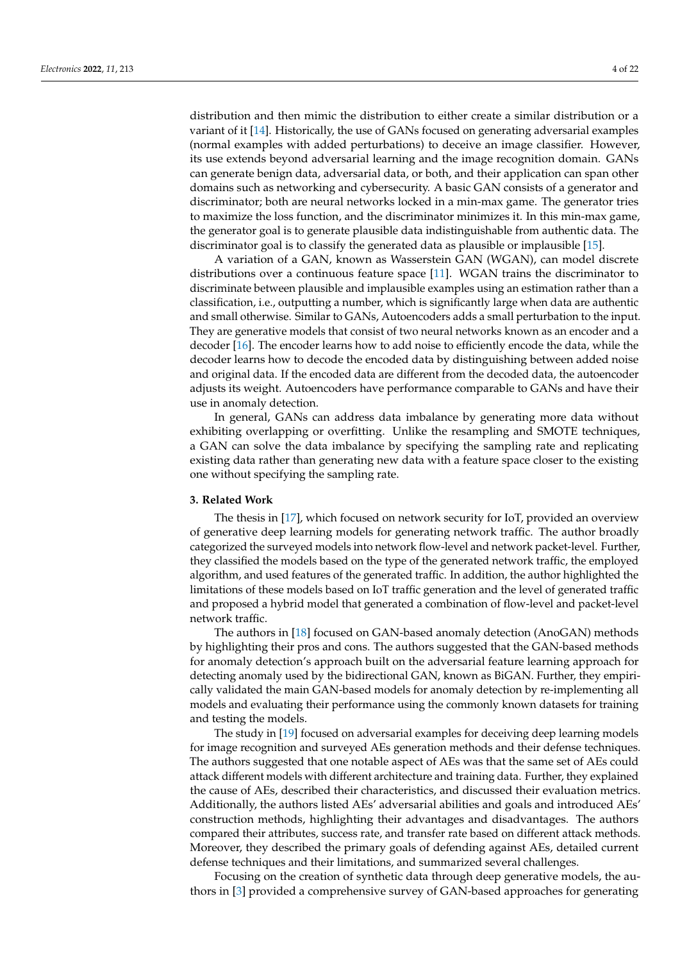distribution and then mimic the distribution to either create a similar distribution or a variant of it [\[14\]](#page-20-12). Historically, the use of GANs focused on generating adversarial examples (normal examples with added perturbations) to deceive an image classifier. However, its use extends beyond adversarial learning and the image recognition domain. GANs can generate benign data, adversarial data, or both, and their application can span other domains such as networking and cybersecurity. A basic GAN consists of a generator and discriminator; both are neural networks locked in a min-max game. The generator tries to maximize the loss function, and the discriminator minimizes it. In this min-max game, the generator goal is to generate plausible data indistinguishable from authentic data. The discriminator goal is to classify the generated data as plausible or implausible [\[15\]](#page-20-13).

A variation of a GAN, known as Wasserstein GAN (WGAN), can model discrete distributions over a continuous feature space [\[11\]](#page-20-14). WGAN trains the discriminator to discriminate between plausible and implausible examples using an estimation rather than a classification, i.e., outputting a number, which is significantly large when data are authentic and small otherwise. Similar to GANs, Autoencoders adds a small perturbation to the input. They are generative models that consist of two neural networks known as an encoder and a decoder [\[16\]](#page-20-15). The encoder learns how to add noise to efficiently encode the data, while the decoder learns how to decode the encoded data by distinguishing between added noise and original data. If the encoded data are different from the decoded data, the autoencoder adjusts its weight. Autoencoders have performance comparable to GANs and have their use in anomaly detection.

In general, GANs can address data imbalance by generating more data without exhibiting overlapping or overfitting. Unlike the resampling and SMOTE techniques, a GAN can solve the data imbalance by specifying the sampling rate and replicating existing data rather than generating new data with a feature space closer to the existing one without specifying the sampling rate.

## <span id="page-3-0"></span>**3. Related Work**

The thesis in [\[17\]](#page-20-16), which focused on network security for IoT, provided an overview of generative deep learning models for generating network traffic. The author broadly categorized the surveyed models into network flow-level and network packet-level. Further, they classified the models based on the type of the generated network traffic, the employed algorithm, and used features of the generated traffic. In addition, the author highlighted the limitations of these models based on IoT traffic generation and the level of generated traffic and proposed a hybrid model that generated a combination of flow-level and packet-level network traffic.

The authors in [\[18\]](#page-20-17) focused on GAN-based anomaly detection (AnoGAN) methods by highlighting their pros and cons. The authors suggested that the GAN-based methods for anomaly detection's approach built on the adversarial feature learning approach for detecting anomaly used by the bidirectional GAN, known as BiGAN. Further, they empirically validated the main GAN-based models for anomaly detection by re-implementing all models and evaluating their performance using the commonly known datasets for training and testing the models.

The study in [\[19\]](#page-20-18) focused on adversarial examples for deceiving deep learning models for image recognition and surveyed AEs generation methods and their defense techniques. The authors suggested that one notable aspect of AEs was that the same set of AEs could attack different models with different architecture and training data. Further, they explained the cause of AEs, described their characteristics, and discussed their evaluation metrics. Additionally, the authors listed AEs' adversarial abilities and goals and introduced AEs' construction methods, highlighting their advantages and disadvantages. The authors compared their attributes, success rate, and transfer rate based on different attack methods. Moreover, they described the primary goals of defending against AEs, detailed current defense techniques and their limitations, and summarized several challenges.

Focusing on the creation of synthetic data through deep generative models, the authors in [\[3\]](#page-20-2) provided a comprehensive survey of GAN-based approaches for generating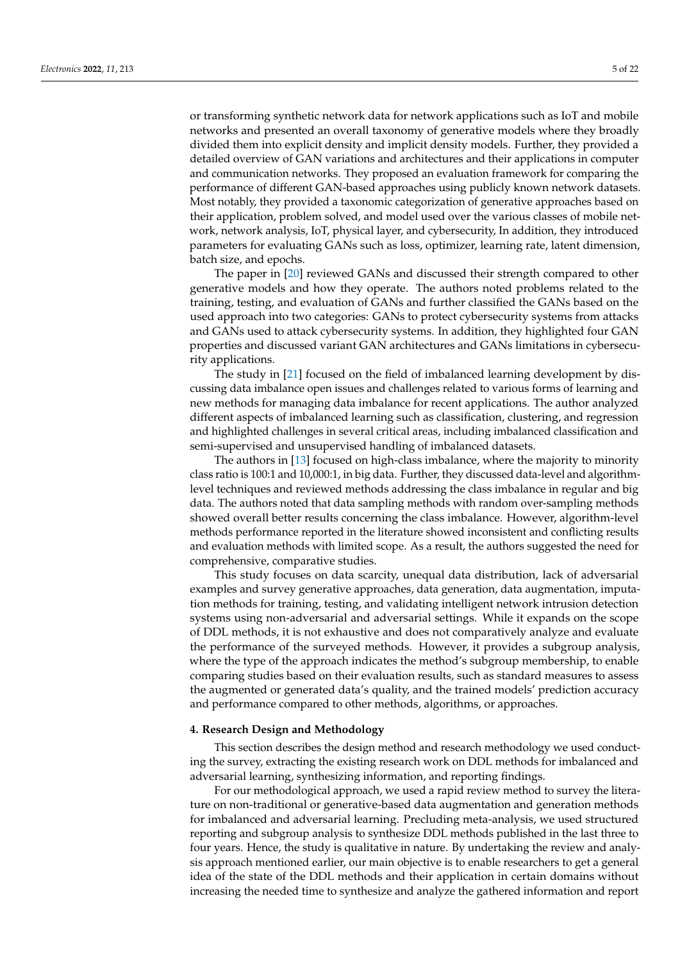or transforming synthetic network data for network applications such as IoT and mobile networks and presented an overall taxonomy of generative models where they broadly divided them into explicit density and implicit density models. Further, they provided a detailed overview of GAN variations and architectures and their applications in computer and communication networks. They proposed an evaluation framework for comparing the performance of different GAN-based approaches using publicly known network datasets. Most notably, they provided a taxonomic categorization of generative approaches based on their application, problem solved, and model used over the various classes of mobile network, network analysis, IoT, physical layer, and cybersecurity, In addition, they introduced parameters for evaluating GANs such as loss, optimizer, learning rate, latent dimension, batch size, and epochs.

The paper in [\[20\]](#page-20-19) reviewed GANs and discussed their strength compared to other generative models and how they operate. The authors noted problems related to the training, testing, and evaluation of GANs and further classified the GANs based on the used approach into two categories: GANs to protect cybersecurity systems from attacks and GANs used to attack cybersecurity systems. In addition, they highlighted four GAN properties and discussed variant GAN architectures and GANs limitations in cybersecurity applications.

The study in [\[21\]](#page-20-20) focused on the field of imbalanced learning development by discussing data imbalance open issues and challenges related to various forms of learning and new methods for managing data imbalance for recent applications. The author analyzed different aspects of imbalanced learning such as classification, clustering, and regression and highlighted challenges in several critical areas, including imbalanced classification and semi-supervised and unsupervised handling of imbalanced datasets.

The authors in [\[13\]](#page-20-11) focused on high-class imbalance, where the majority to minority class ratio is 100:1 and 10,000:1, in big data. Further, they discussed data-level and algorithmlevel techniques and reviewed methods addressing the class imbalance in regular and big data. The authors noted that data sampling methods with random over-sampling methods showed overall better results concerning the class imbalance. However, algorithm-level methods performance reported in the literature showed inconsistent and conflicting results and evaluation methods with limited scope. As a result, the authors suggested the need for comprehensive, comparative studies.

This study focuses on data scarcity, unequal data distribution, lack of adversarial examples and survey generative approaches, data generation, data augmentation, imputation methods for training, testing, and validating intelligent network intrusion detection systems using non-adversarial and adversarial settings. While it expands on the scope of DDL methods, it is not exhaustive and does not comparatively analyze and evaluate the performance of the surveyed methods. However, it provides a subgroup analysis, where the type of the approach indicates the method's subgroup membership, to enable comparing studies based on their evaluation results, such as standard measures to assess the augmented or generated data's quality, and the trained models' prediction accuracy and performance compared to other methods, algorithms, or approaches.

#### <span id="page-4-0"></span>**4. Research Design and Methodology**

This section describes the design method and research methodology we used conducting the survey, extracting the existing research work on DDL methods for imbalanced and adversarial learning, synthesizing information, and reporting findings.

For our methodological approach, we used a rapid review method to survey the literature on non-traditional or generative-based data augmentation and generation methods for imbalanced and adversarial learning. Precluding meta-analysis, we used structured reporting and subgroup analysis to synthesize DDL methods published in the last three to four years. Hence, the study is qualitative in nature. By undertaking the review and analysis approach mentioned earlier, our main objective is to enable researchers to get a general idea of the state of the DDL methods and their application in certain domains without increasing the needed time to synthesize and analyze the gathered information and report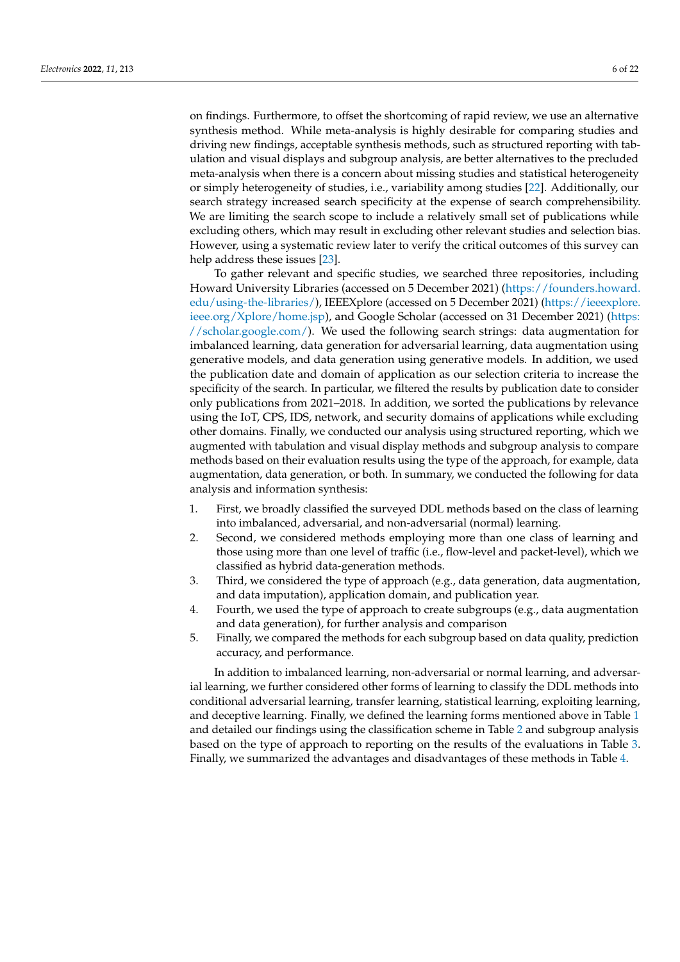on findings. Furthermore, to offset the shortcoming of rapid review, we use an alternative synthesis method. While meta-analysis is highly desirable for comparing studies and driving new findings, acceptable synthesis methods, such as structured reporting with tabulation and visual displays and subgroup analysis, are better alternatives to the precluded meta-analysis when there is a concern about missing studies and statistical heterogeneity or simply heterogeneity of studies, i.e., variability among studies [\[22\]](#page-21-0). Additionally, our search strategy increased search specificity at the expense of search comprehensibility. We are limiting the search scope to include a relatively small set of publications while excluding others, which may result in excluding other relevant studies and selection bias. However, using a systematic review later to verify the critical outcomes of this survey can help address these issues [\[23\]](#page-21-1).

To gather relevant and specific studies, we searched three repositories, including Howard University Libraries (accessed on 5 December 2021) [\(https://founders.howard.](https://founders.howard.edu/using-the-libraries/ ) [edu/using-the-libraries/\)](https://founders.howard.edu/using-the-libraries/ ), IEEEXplore (accessed on 5 December 2021) [\(https://ieeexplore.](https://ieeexplore.ieee.org/Xplore/home.jsp) [ieee.org/Xplore/home.jsp\)](https://ieeexplore.ieee.org/Xplore/home.jsp), and Google Scholar (accessed on 31 December 2021) [\(https:](https://scholar.google.com/) [//scholar.google.com/\)](https://scholar.google.com/). We used the following search strings: data augmentation for imbalanced learning, data generation for adversarial learning, data augmentation using generative models, and data generation using generative models. In addition, we used the publication date and domain of application as our selection criteria to increase the specificity of the search. In particular, we filtered the results by publication date to consider only publications from 2021–2018. In addition, we sorted the publications by relevance using the IoT, CPS, IDS, network, and security domains of applications while excluding other domains. Finally, we conducted our analysis using structured reporting, which we augmented with tabulation and visual display methods and subgroup analysis to compare methods based on their evaluation results using the type of the approach, for example, data augmentation, data generation, or both. In summary, we conducted the following for data analysis and information synthesis:

- 1. First, we broadly classified the surveyed DDL methods based on the class of learning into imbalanced, adversarial, and non-adversarial (normal) learning.
- 2. Second, we considered methods employing more than one class of learning and those using more than one level of traffic (i.e., flow-level and packet-level), which we classified as hybrid data-generation methods.
- 3. Third, we considered the type of approach (e.g., data generation, data augmentation, and data imputation), application domain, and publication year.
- 4. Fourth, we used the type of approach to create subgroups (e.g., data augmentation and data generation), for further analysis and comparison
- 5. Finally, we compared the methods for each subgroup based on data quality, prediction accuracy, and performance.

In addition to imbalanced learning, non-adversarial or normal learning, and adversarial learning, we further considered other forms of learning to classify the DDL methods into conditional adversarial learning, transfer learning, statistical learning, exploiting learning, and deceptive learning. Finally, we defined the learning forms mentioned above in Table [1](#page-6-0) and detailed our findings using the classification scheme in Table [2](#page-6-1) and subgroup analysis based on the type of approach to reporting on the results of the evaluations in Table [3.](#page-7-0) Finally, we summarized the advantages and disadvantages of these methods in Table [4.](#page-8-1)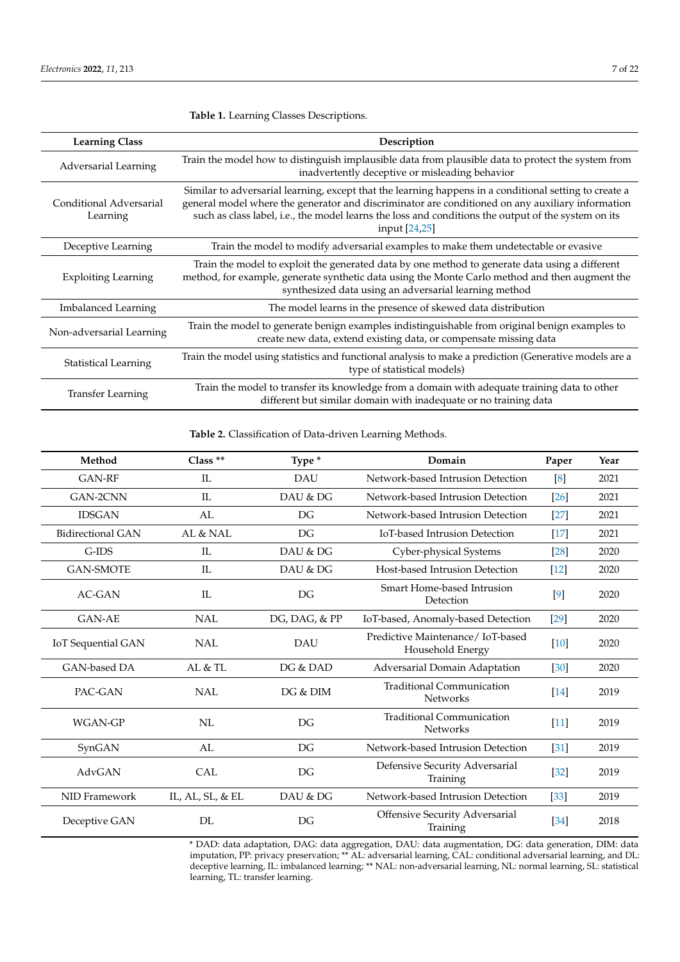| <b>Learning Class</b>               | Description                                                                                                                                                                                                                                                                                                                        |  |
|-------------------------------------|------------------------------------------------------------------------------------------------------------------------------------------------------------------------------------------------------------------------------------------------------------------------------------------------------------------------------------|--|
| Adversarial Learning                | Train the model how to distinguish implausible data from plausible data to protect the system from<br>inadvertently deceptive or misleading behavior                                                                                                                                                                               |  |
| Conditional Adversarial<br>Learning | Similar to adversarial learning, except that the learning happens in a conditional setting to create a<br>general model where the generator and discriminator are conditioned on any auxiliary information<br>such as class label, i.e., the model learns the loss and conditions the output of the system on its<br>input [24,25] |  |
| Deceptive Learning                  | Train the model to modify adversarial examples to make them undetectable or evasive                                                                                                                                                                                                                                                |  |
| <b>Exploiting Learning</b>          | Train the model to exploit the generated data by one method to generate data using a different<br>method, for example, generate synthetic data using the Monte Carlo method and then augment the<br>synthesized data using an adversarial learning method                                                                          |  |
| <b>Imbalanced Learning</b>          | The model learns in the presence of skewed data distribution                                                                                                                                                                                                                                                                       |  |
| Non-adversarial Learning            | Train the model to generate benign examples indistinguishable from original benign examples to<br>create new data, extend existing data, or compensate missing data                                                                                                                                                                |  |
| <b>Statistical Learning</b>         | Train the model using statistics and functional analysis to make a prediction (Generative models are a<br>type of statistical models)                                                                                                                                                                                              |  |
| <b>Transfer Learning</b>            | Train the model to transfer its knowledge from a domain with adequate training data to other<br>different but similar domain with inadequate or no training data                                                                                                                                                                   |  |

<span id="page-6-0"></span>**Table 1.** Learning Classes Descriptions.

<span id="page-6-1"></span>**Table 2.** Classification of Data-driven Learning Methods.

| Method                   | Class $**$       | Type *                                          | Domain                                               | Paper  | Year |
|--------------------------|------------------|-------------------------------------------------|------------------------------------------------------|--------|------|
| <b>GAN-RF</b>            | IL               | <b>DAU</b><br>Network-based Intrusion Detection |                                                      | [8]    | 2021 |
| GAN-2CNN                 | IL               | DAU & DG                                        | Network-based Intrusion Detection                    |        | 2021 |
| <b>IDSGAN</b>            | AL               | DG                                              | Network-based Intrusion Detection                    | $[27]$ | 2021 |
| <b>Bidirectional GAN</b> | AL & NAL         | DG                                              | IoT-based Intrusion Detection                        | $[17]$ | 2021 |
| $G$ -IDS                 | IL               | DAU & DG                                        | Cyber-physical Systems                               | $[28]$ | 2020 |
| <b>GAN-SMOTE</b>         | IL               | DAU & DG                                        | Host-based Intrusion Detection                       | $[12]$ | 2020 |
| <b>AC-GAN</b>            | IL               | DG                                              | Smart Home-based Intrusion<br>Detection              | $[9]$  | 2020 |
| <b>GAN-AE</b>            | <b>NAL</b>       | DG, DAG, & PP                                   | IoT-based, Anomaly-based Detection                   | [29]   | 2020 |
| IoT Sequential GAN       | <b>NAL</b>       | DAU                                             | Predictive Maintenance/IoT-based<br>Household Energy | $[10]$ | 2020 |
| <b>GAN-based DA</b>      | AI. & TI.        | DG & DAD                                        | Adversarial Domain Adaptation                        | [30]   | 2020 |
| PAC-GAN                  | NAL              | DG & DIM                                        | <b>Traditional Communication</b><br><b>Networks</b>  | $[14]$ | 2019 |
| WGAN-GP                  | NL               | DG                                              | <b>Traditional Communication</b><br><b>Networks</b>  | $[11]$ | 2019 |
| SynGAN                   | AL               | DG                                              | Network-based Intrusion Detection                    | $[31]$ | 2019 |
| AdvGAN                   | <b>CAL</b>       | DG                                              | Defensive Security Adversarial<br>Training           | $[32]$ | 2019 |
| NID Framework            | IL, AL, SL, & EL | DAU & DG                                        | Network-based Intrusion Detection                    | $[33]$ | 2019 |
| Deceptive GAN            | DL               | DG                                              | <b>Offensive Security Adversarial</b><br>Training    | $[34]$ | 2018 |

\* DAD: data adaptation, DAG: data aggregation, DAU: data augmentation, DG: data generation, DIM: data imputation, PP: privacy preservation; \*\* AL: adversarial learning, CAL: conditional adversarial learning, and DL: deceptive learning, IL: imbalanced learning; \*\* NAL: non-adversarial learning, NL: normal learning, SL: statistical learning, TL: transfer learning.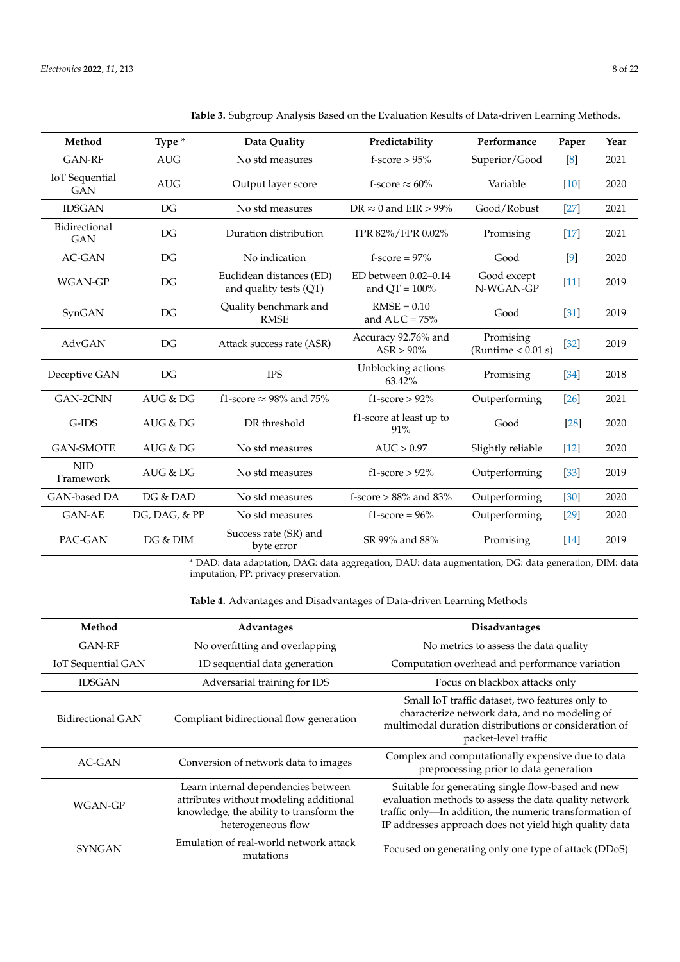| Method                              | Type *        | Data Quality                                       | Predictability                           | Performance                       | Paper              | Year |
|-------------------------------------|---------------|----------------------------------------------------|------------------------------------------|-----------------------------------|--------------------|------|
| <b>GAN-RF</b>                       | <b>AUG</b>    | No std measures                                    | $f$ -score > $95%$                       | Superior/Good                     | [8]                | 2021 |
| <b>IoT</b> Sequential<br><b>GAN</b> | <b>AUG</b>    | Output layer score                                 | f-score $\approx 60\%$                   | Variable                          | [10]               | 2020 |
| <b>IDSGAN</b>                       | DG            | No std measures                                    | DR $\approx$ 0 and EIR > 99%             | Good/Robust                       | $[27]$             | 2021 |
| Bidirectional<br><b>GAN</b>         | DG            | Duration distribution                              | TPR 82%/FPR 0.02%                        | Promising                         | $[17]$             | 2021 |
| AC-GAN                              | DG            | No indication                                      | f-score = $97\%$                         | Good                              | [9]                | 2020 |
| WGAN-GP                             | DG            | Euclidean distances (ED)<br>and quality tests (QT) | ED between 0.02-0.14<br>and $QT = 100\%$ | Good except<br>N-WGAN-GP          | $[11]$             | 2019 |
| SynGAN                              | DG            | Quality benchmark and<br><b>RMSE</b>               | $RMSE = 0.10$<br>and $AUC = 75%$         | Good                              | [31]               | 2019 |
| AdvGAN                              | DG            | Attack success rate (ASR)                          | Accuracy 92.76% and<br>$ASR > 90\%$      | Promising<br>(Runtime $< 0.01$ s) | $[32]$             | 2019 |
| Deceptive GAN                       | DG            | <b>IPS</b>                                         | Unblocking actions<br>63.42%             | Promising                         | $[34]$             | 2018 |
| GAN-2CNN                            | AUG & DG      | f1-score $\approx$ 98% and 75%                     | $f1-score > 92\%$                        | Outperforming                     | $\lceil 26 \rceil$ | 2021 |
| G-IDS                               | AUG & DG      | DR threshold                                       | f1-score at least up to<br>91%           | Good                              | $[28]$             | 2020 |
| <b>GAN-SMOTE</b>                    | AUG & DG      | No std measures                                    | AUC > 0.97                               | Slightly reliable                 | $[12]$             | 2020 |
| <b>NID</b><br>Framework             | AUG & DG      | No std measures                                    | $f1-score > 92\%$                        | Outperforming                     | $[33]$             | 2019 |
| GAN-based DA                        | DG & DAD      | No std measures                                    | $f$ -score $> 88\%$ and $83\%$           | Outperforming                     | $[30]$             | 2020 |
| <b>GAN-AE</b>                       | DG, DAG, & PP | No std measures                                    | $f1-score = 96%$                         | Outperforming                     | [29]               | 2020 |
| PAC-GAN                             | DG & DIM      | Success rate (SR) and<br>byte error                | SR 99% and 88%                           | Promising                         | $[14]$             | 2019 |

<span id="page-7-0"></span>**Table 3.** Subgroup Analysis Based on the Evaluation Results of Data-driven Learning Methods.

\* DAD: data adaptation, DAG: data aggregation, DAU: data augmentation, DG: data generation, DIM: data imputation, PP: privacy preservation.

**Table 4.** Advantages and Disadvantages of Data-driven Learning Methods

| Method             | Advantages                                                                                                                                     | <b>Disadvantages</b>                                                                                                                                                                                                            |  |
|--------------------|------------------------------------------------------------------------------------------------------------------------------------------------|---------------------------------------------------------------------------------------------------------------------------------------------------------------------------------------------------------------------------------|--|
| <b>GAN-RF</b>      | No overfitting and overlapping                                                                                                                 | No metrics to assess the data quality                                                                                                                                                                                           |  |
| IoT Sequential GAN | 1D sequential data generation                                                                                                                  | Computation overhead and performance variation                                                                                                                                                                                  |  |
| <b>IDSGAN</b>      | Adversarial training for IDS                                                                                                                   | Focus on blackbox attacks only                                                                                                                                                                                                  |  |
| Bidirectional GAN  | Compliant bidirectional flow generation                                                                                                        | Small IoT traffic dataset, two features only to<br>characterize network data, and no modeling of<br>multimodal duration distributions or consideration of<br>packet-level traffic                                               |  |
| $AC-GAN$           | Conversion of network data to images                                                                                                           | Complex and computationally expensive due to data<br>preprocessing prior to data generation                                                                                                                                     |  |
| WGAN-GP            | Learn internal dependencies between<br>attributes without modeling additional<br>knowledge, the ability to transform the<br>heterogeneous flow | Suitable for generating single flow-based and new<br>evaluation methods to assess the data quality network<br>traffic only-In addition, the numeric transformation of<br>IP addresses approach does not yield high quality data |  |
| <b>SYNGAN</b>      | Emulation of real-world network attack<br>mutations                                                                                            | Focused on generating only one type of attack (DDoS)                                                                                                                                                                            |  |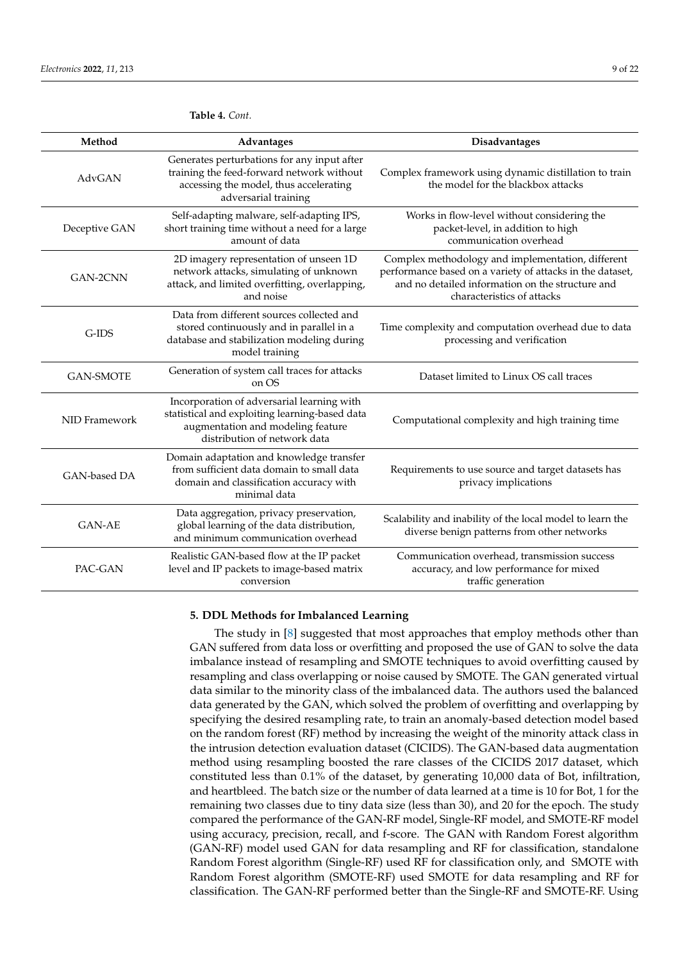| Method           | <b>Advantages</b>                                                                                                                                                 | Disadvantages                                                                                                                                                                                    |
|------------------|-------------------------------------------------------------------------------------------------------------------------------------------------------------------|--------------------------------------------------------------------------------------------------------------------------------------------------------------------------------------------------|
| AdvGAN           | Generates perturbations for any input after<br>training the feed-forward network without<br>accessing the model, thus accelerating<br>adversarial training        | Complex framework using dynamic distillation to train<br>the model for the blackbox attacks                                                                                                      |
| Deceptive GAN    | Self-adapting malware, self-adapting IPS,<br>short training time without a need for a large<br>amount of data                                                     | Works in flow-level without considering the<br>packet-level, in addition to high<br>communication overhead                                                                                       |
| GAN-2CNN         | 2D imagery representation of unseen 1D<br>network attacks, simulating of unknown<br>attack, and limited overfitting, overlapping,<br>and noise                    | Complex methodology and implementation, different<br>performance based on a variety of attacks in the dataset,<br>and no detailed information on the structure and<br>characteristics of attacks |
| G-IDS            | Data from different sources collected and<br>stored continuously and in parallel in a<br>database and stabilization modeling during<br>model training             | Time complexity and computation overhead due to data<br>processing and verification                                                                                                              |
| <b>GAN-SMOTE</b> | Generation of system call traces for attacks<br>on OS                                                                                                             | Dataset limited to Linux OS call traces                                                                                                                                                          |
| NID Framework    | Incorporation of adversarial learning with<br>statistical and exploiting learning-based data<br>augmentation and modeling feature<br>distribution of network data | Computational complexity and high training time                                                                                                                                                  |
| GAN-based DA     | Domain adaptation and knowledge transfer<br>from sufficient data domain to small data<br>domain and classification accuracy with<br>minimal data                  | Requirements to use source and target datasets has<br>privacy implications                                                                                                                       |
| <b>GAN-AE</b>    | Data aggregation, privacy preservation,<br>global learning of the data distribution,<br>and minimum communication overhead                                        | Scalability and inability of the local model to learn the<br>diverse benign patterns from other networks                                                                                         |
| PAC-GAN          | Realistic GAN-based flow at the IP packet<br>level and IP packets to image-based matrix<br>conversion                                                             | Communication overhead, transmission success<br>accuracy, and low performance for mixed<br>traffic generation                                                                                    |

<span id="page-8-1"></span>**Table 4.** *Cont.*

## <span id="page-8-0"></span>**5. DDL Methods for Imbalanced Learning**

The study in [\[8\]](#page-20-10) suggested that most approaches that employ methods other than GAN suffered from data loss or overfitting and proposed the use of GAN to solve the data imbalance instead of resampling and SMOTE techniques to avoid overfitting caused by resampling and class overlapping or noise caused by SMOTE. The GAN generated virtual data similar to the minority class of the imbalanced data. The authors used the balanced data generated by the GAN, which solved the problem of overfitting and overlapping by specifying the desired resampling rate, to train an anomaly-based detection model based on the random forest (RF) method by increasing the weight of the minority attack class in the intrusion detection evaluation dataset (CICIDS). The GAN-based data augmentation method using resampling boosted the rare classes of the CICIDS 2017 dataset, which constituted less than 0.1% of the dataset, by generating 10,000 data of Bot, infiltration, and heartbleed. The batch size or the number of data learned at a time is 10 for Bot, 1 for the remaining two classes due to tiny data size (less than 30), and 20 for the epoch. The study compared the performance of the GAN-RF model, Single-RF model, and SMOTE-RF model using accuracy, precision, recall, and f-score. The GAN with Random Forest algorithm (GAN-RF) model used GAN for data resampling and RF for classification, standalone Random Forest algorithm (Single-RF) used RF for classification only, and SMOTE with Random Forest algorithm (SMOTE-RF) used SMOTE for data resampling and RF for classification. The GAN-RF performed better than the Single-RF and SMOTE-RF. Using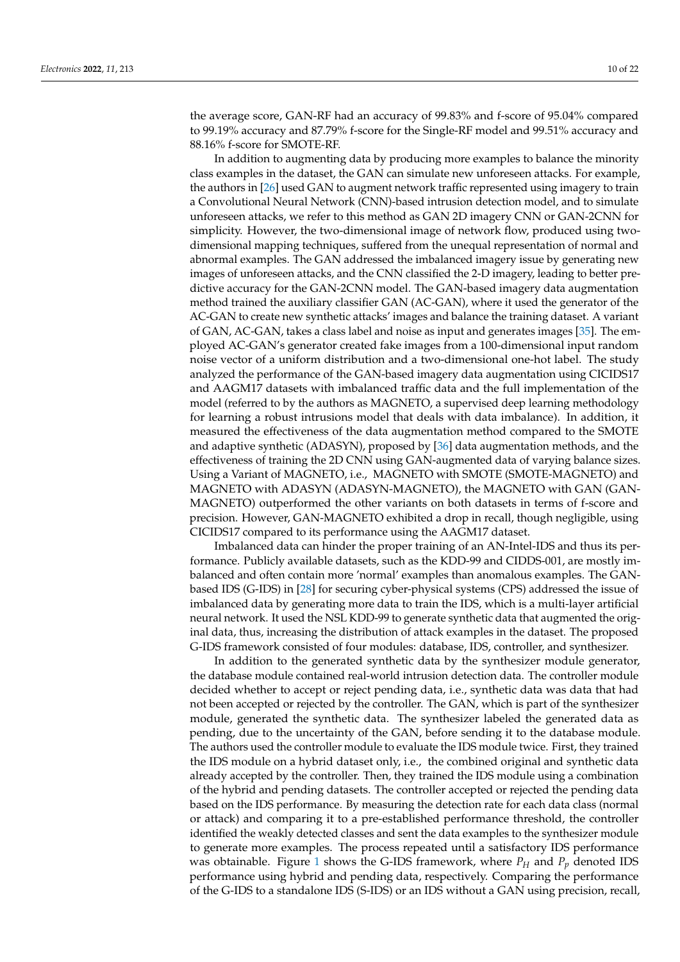the average score, GAN-RF had an accuracy of 99.83% and f-score of 95.04% compared to 99.19% accuracy and 87.79% f-score for the Single-RF model and 99.51% accuracy and 88.16% f-score for SMOTE-RF.

In addition to augmenting data by producing more examples to balance the minority class examples in the dataset, the GAN can simulate new unforeseen attacks. For example, the authors in [\[26\]](#page-21-4) used GAN to augment network traffic represented using imagery to train a Convolutional Neural Network (CNN)-based intrusion detection model, and to simulate unforeseen attacks, we refer to this method as GAN 2D imagery CNN or GAN-2CNN for simplicity. However, the two-dimensional image of network flow, produced using twodimensional mapping techniques, suffered from the unequal representation of normal and abnormal examples. The GAN addressed the imbalanced imagery issue by generating new images of unforeseen attacks, and the CNN classified the 2-D imagery, leading to better predictive accuracy for the GAN-2CNN model. The GAN-based imagery data augmentation method trained the auxiliary classifier GAN (AC-GAN), where it used the generator of the AC-GAN to create new synthetic attacks' images and balance the training dataset. A variant of GAN, AC-GAN, takes a class label and noise as input and generates images [\[35\]](#page-21-13). The employed AC-GAN's generator created fake images from a 100-dimensional input random noise vector of a uniform distribution and a two-dimensional one-hot label. The study analyzed the performance of the GAN-based imagery data augmentation using CICIDS17 and AAGM17 datasets with imbalanced traffic data and the full implementation of the model (referred to by the authors as MAGNETO, a supervised deep learning methodology for learning a robust intrusions model that deals with data imbalance). In addition, it measured the effectiveness of the data augmentation method compared to the SMOTE and adaptive synthetic (ADASYN), proposed by [\[36\]](#page-21-14) data augmentation methods, and the effectiveness of training the 2D CNN using GAN-augmented data of varying balance sizes. Using a Variant of MAGNETO, i.e., MAGNETO with SMOTE (SMOTE-MAGNETO) and MAGNETO with ADASYN (ADASYN-MAGNETO), the MAGNETO with GAN (GAN-MAGNETO) outperformed the other variants on both datasets in terms of f-score and precision. However, GAN-MAGNETO exhibited a drop in recall, though negligible, using CICIDS17 compared to its performance using the AAGM17 dataset.

Imbalanced data can hinder the proper training of an AN-Intel-IDS and thus its performance. Publicly available datasets, such as the KDD-99 and CIDDS-001, are mostly imbalanced and often contain more 'normal' examples than anomalous examples. The GANbased IDS (G-IDS) in [\[28\]](#page-21-6) for securing cyber-physical systems (CPS) addressed the issue of imbalanced data by generating more data to train the IDS, which is a multi-layer artificial neural network. It used the NSL KDD-99 to generate synthetic data that augmented the original data, thus, increasing the distribution of attack examples in the dataset. The proposed G-IDS framework consisted of four modules: database, IDS, controller, and synthesizer.

In addition to the generated synthetic data by the synthesizer module generator, the database module contained real-world intrusion detection data. The controller module decided whether to accept or reject pending data, i.e., synthetic data was data that had not been accepted or rejected by the controller. The GAN, which is part of the synthesizer module, generated the synthetic data. The synthesizer labeled the generated data as pending, due to the uncertainty of the GAN, before sending it to the database module. The authors used the controller module to evaluate the IDS module twice. First, they trained the IDS module on a hybrid dataset only, i.e., the combined original and synthetic data already accepted by the controller. Then, they trained the IDS module using a combination of the hybrid and pending datasets. The controller accepted or rejected the pending data based on the IDS performance. By measuring the detection rate for each data class (normal or attack) and comparing it to a pre-established performance threshold, the controller identified the weakly detected classes and sent the data examples to the synthesizer module to generate more examples. The process repeated until a satisfactory IDS performance was obtainable. Figure [1](#page-10-0) shows the G-IDS framework, where  $P_H$  and  $P_p$  denoted IDS performance using hybrid and pending data, respectively. Comparing the performance of the G-IDS to a standalone IDS (S-IDS) or an IDS without a GAN using precision, recall,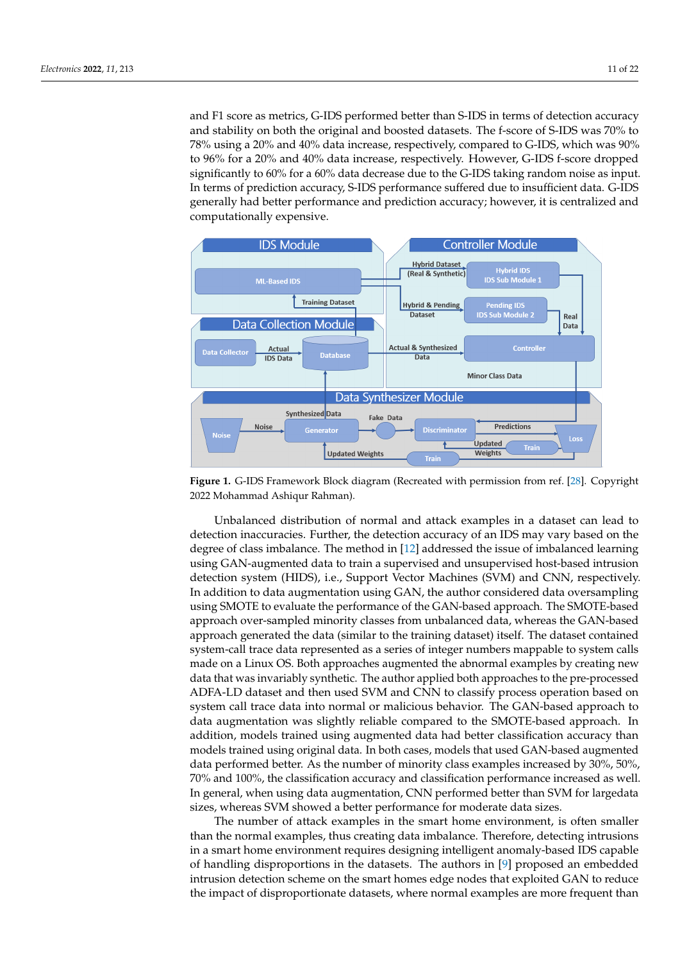and F1 score as metrics, G-IDS performed better than S-IDS in terms of detection accuracy and stability on both the original and boosted datasets. The f-score of S-IDS was 70% to 78% using a 20% and 40% data increase, respectively, compared to G-IDS, which was 90% to 96% for a 20% and 40% data increase, respectively. However, G-IDS f-score dropped significantly to 60% for a 60% data decrease due to the G-IDS taking random noise as input. In terms of prediction accuracy, S-IDS performance suffered due to insufficient data. G-IDS generally had better performance and prediction accuracy; however, it is centralized and computationally expensive.

<span id="page-10-0"></span>

**Figure 1.** G-IDS Framework Block diagram (Recreated with permission from ref. [\[28\]](#page-21-6). Copyright 2022 Mohammad Ashiqur Rahman).

Unbalanced distribution of normal and attack examples in a dataset can lead to detection inaccuracies. Further, the detection accuracy of an IDS may vary based on the degree of class imbalance. The method in [\[12\]](#page-20-9) addressed the issue of imbalanced learning using GAN-augmented data to train a supervised and unsupervised host-based intrusion detection system (HIDS), i.e., Support Vector Machines (SVM) and CNN, respectively. In addition to data augmentation using GAN, the author considered data oversampling using SMOTE to evaluate the performance of the GAN-based approach. The SMOTE-based approach over-sampled minority classes from unbalanced data, whereas the GAN-based approach generated the data (similar to the training dataset) itself. The dataset contained system-call trace data represented as a series of integer numbers mappable to system calls made on a Linux OS. Both approaches augmented the abnormal examples by creating new data that was invariably synthetic. The author applied both approaches to the pre-processed ADFA-LD dataset and then used SVM and CNN to classify process operation based on system call trace data into normal or malicious behavior. The GAN-based approach to data augmentation was slightly reliable compared to the SMOTE-based approach. In addition, models trained using augmented data had better classification accuracy than models trained using original data. In both cases, models that used GAN-based augmented data performed better. As the number of minority class examples increased by 30%, 50%, 70% and 100%, the classification accuracy and classification performance increased as well. In general, when using data augmentation, CNN performed better than SVM for largedata sizes, whereas SVM showed a better performance for moderate data sizes.

The number of attack examples in the smart home environment, is often smaller than the normal examples, thus creating data imbalance. Therefore, detecting intrusions in a smart home environment requires designing intelligent anomaly-based IDS capable of handling disproportions in the datasets. The authors in [\[9\]](#page-20-3) proposed an embedded intrusion detection scheme on the smart homes edge nodes that exploited GAN to reduce the impact of disproportionate datasets, where normal examples are more frequent than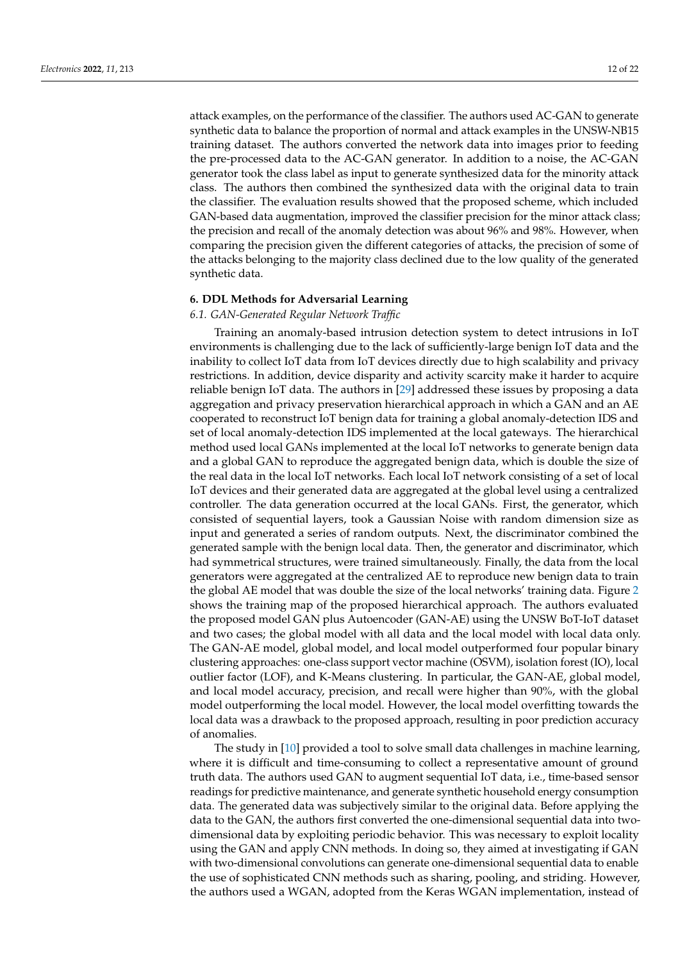attack examples, on the performance of the classifier. The authors used AC-GAN to generate synthetic data to balance the proportion of normal and attack examples in the UNSW-NB15 training dataset. The authors converted the network data into images prior to feeding the pre-processed data to the AC-GAN generator. In addition to a noise, the AC-GAN generator took the class label as input to generate synthesized data for the minority attack class. The authors then combined the synthesized data with the original data to train the classifier. The evaluation results showed that the proposed scheme, which included GAN-based data augmentation, improved the classifier precision for the minor attack class; the precision and recall of the anomaly detection was about 96% and 98%. However, when comparing the precision given the different categories of attacks, the precision of some of the attacks belonging to the majority class declined due to the low quality of the generated synthetic data.

#### **6. DDL Methods for Adversarial Learning**

#### *6.1. GAN-Generated Regular Network Traffic*

Training an anomaly-based intrusion detection system to detect intrusions in IoT environments is challenging due to the lack of sufficiently-large benign IoT data and the inability to collect IoT data from IoT devices directly due to high scalability and privacy restrictions. In addition, device disparity and activity scarcity make it harder to acquire reliable benign IoT data. The authors in [\[29\]](#page-21-7) addressed these issues by proposing a data aggregation and privacy preservation hierarchical approach in which a GAN and an AE cooperated to reconstruct IoT benign data for training a global anomaly-detection IDS and set of local anomaly-detection IDS implemented at the local gateways. The hierarchical method used local GANs implemented at the local IoT networks to generate benign data and a global GAN to reproduce the aggregated benign data, which is double the size of the real data in the local IoT networks. Each local IoT network consisting of a set of local IoT devices and their generated data are aggregated at the global level using a centralized controller. The data generation occurred at the local GANs. First, the generator, which consisted of sequential layers, took a Gaussian Noise with random dimension size as input and generated a series of random outputs. Next, the discriminator combined the generated sample with the benign local data. Then, the generator and discriminator, which had symmetrical structures, were trained simultaneously. Finally, the data from the local generators were aggregated at the centralized AE to reproduce new benign data to train the global AE model that was double the size of the local networks' training data. Figure [2](#page-12-0) shows the training map of the proposed hierarchical approach. The authors evaluated the proposed model GAN plus Autoencoder (GAN-AE) using the UNSW BoT-IoT dataset and two cases; the global model with all data and the local model with local data only. The GAN-AE model, global model, and local model outperformed four popular binary clustering approaches: one-class support vector machine (OSVM), isolation forest (IO), local outlier factor (LOF), and K-Means clustering. In particular, the GAN-AE, global model, and local model accuracy, precision, and recall were higher than 90%, with the global model outperforming the local model. However, the local model overfitting towards the local data was a drawback to the proposed approach, resulting in poor prediction accuracy of anomalies.

The study in [\[10\]](#page-20-8) provided a tool to solve small data challenges in machine learning, where it is difficult and time-consuming to collect a representative amount of ground truth data. The authors used GAN to augment sequential IoT data, i.e., time-based sensor readings for predictive maintenance, and generate synthetic household energy consumption data. The generated data was subjectively similar to the original data. Before applying the data to the GAN, the authors first converted the one-dimensional sequential data into twodimensional data by exploiting periodic behavior. This was necessary to exploit locality using the GAN and apply CNN methods. In doing so, they aimed at investigating if GAN with two-dimensional convolutions can generate one-dimensional sequential data to enable the use of sophisticated CNN methods such as sharing, pooling, and striding. However, the authors used a WGAN, adopted from the Keras WGAN implementation, instead of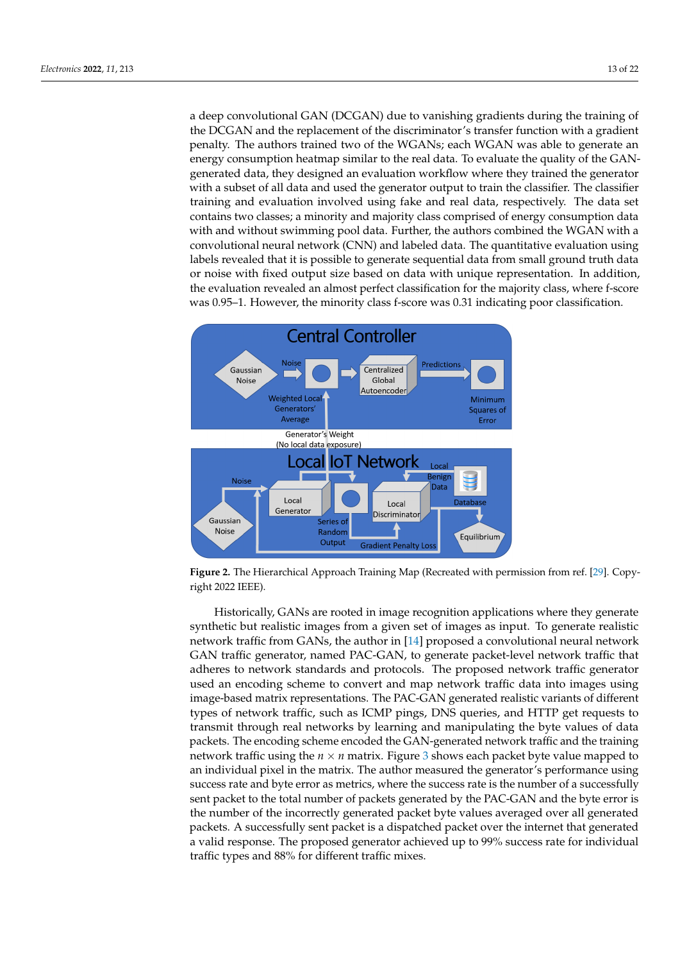a deep convolutional GAN (DCGAN) due to vanishing gradients during the training of the DCGAN and the replacement of the discriminator's transfer function with a gradient penalty. The authors trained two of the WGANs; each WGAN was able to generate an energy consumption heatmap similar to the real data. To evaluate the quality of the GANgenerated data, they designed an evaluation workflow where they trained the generator with a subset of all data and used the generator output to train the classifier. The classifier training and evaluation involved using fake and real data, respectively. The data set contains two classes; a minority and majority class comprised of energy consumption data with and without swimming pool data. Further, the authors combined the WGAN with a convolutional neural network (CNN) and labeled data. The quantitative evaluation using labels revealed that it is possible to generate sequential data from small ground truth data or noise with fixed output size based on data with unique representation. In addition, the evaluation revealed an almost perfect classification for the majority class, where f-score was 0.95–1. However, the minority class f-score was 0.31 indicating poor classification.

<span id="page-12-0"></span>

**Figure 2.** The Hierarchical Approach Training Map (Recreated with permission from ref. [\[29\]](#page-21-7). Copyright 2022 IEEE).

Historically, GANs are rooted in image recognition applications where they generate synthetic but realistic images from a given set of images as input. To generate realistic network traffic from GANs, the author in [\[14\]](#page-20-12) proposed a convolutional neural network GAN traffic generator, named PAC-GAN, to generate packet-level network traffic that adheres to network standards and protocols. The proposed network traffic generator used an encoding scheme to convert and map network traffic data into images using image-based matrix representations. The PAC-GAN generated realistic variants of different types of network traffic, such as ICMP pings, DNS queries, and HTTP get requests to transmit through real networks by learning and manipulating the byte values of data packets. The encoding scheme encoded the GAN-generated network traffic and the training network traffic using the  $n \times n$  matrix. Figure [3](#page-13-0) shows each packet byte value mapped to an individual pixel in the matrix. The author measured the generator's performance using success rate and byte error as metrics, where the success rate is the number of a successfully sent packet to the total number of packets generated by the PAC-GAN and the byte error is the number of the incorrectly generated packet byte values averaged over all generated packets. A successfully sent packet is a dispatched packet over the internet that generated a valid response. The proposed generator achieved up to 99% success rate for individual traffic types and 88% for different traffic mixes.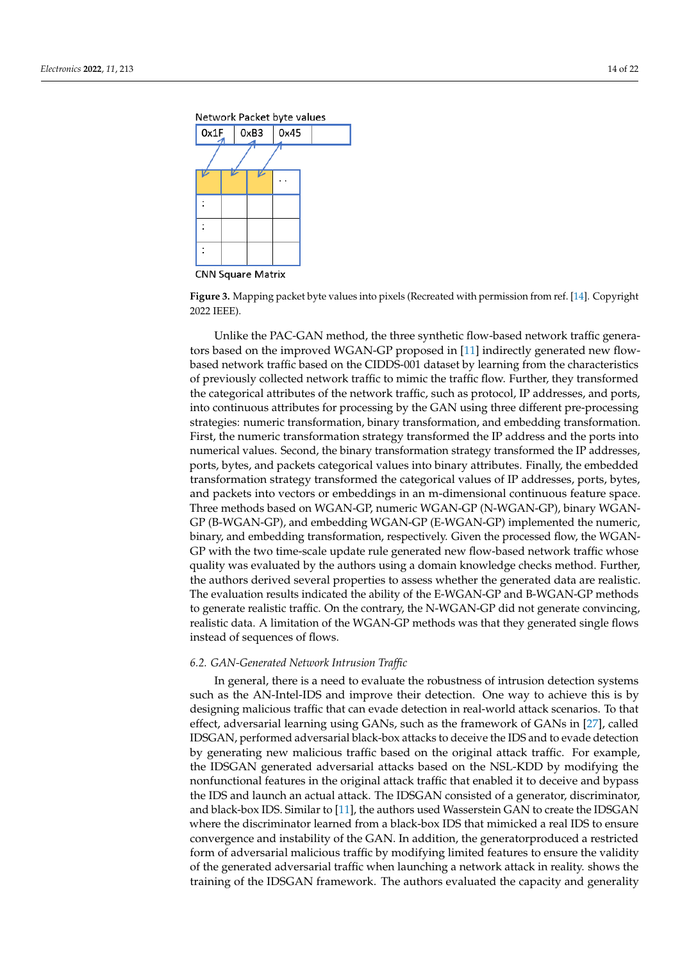<span id="page-13-0"></span>



**CNN Square Matrix** 

**Figure 3.** Mapping packet byte values into pixels (Recreated with permission from ref. [\[14\]](#page-20-12). Copyright 2022 IEEE).

Unlike the PAC-GAN method, the three synthetic flow-based network traffic generators based on the improved WGAN-GP proposed in [\[11\]](#page-20-14) indirectly generated new flowbased network traffic based on the CIDDS-001 dataset by learning from the characteristics of previously collected network traffic to mimic the traffic flow. Further, they transformed the categorical attributes of the network traffic, such as protocol, IP addresses, and ports, into continuous attributes for processing by the GAN using three different pre-processing strategies: numeric transformation, binary transformation, and embedding transformation. First, the numeric transformation strategy transformed the IP address and the ports into numerical values. Second, the binary transformation strategy transformed the IP addresses, ports, bytes, and packets categorical values into binary attributes. Finally, the embedded transformation strategy transformed the categorical values of IP addresses, ports, bytes, and packets into vectors or embeddings in an m-dimensional continuous feature space. Three methods based on WGAN-GP, numeric WGAN-GP (N-WGAN-GP), binary WGAN-GP (B-WGAN-GP), and embedding WGAN-GP (E-WGAN-GP) implemented the numeric, binary, and embedding transformation, respectively. Given the processed flow, the WGAN-GP with the two time-scale update rule generated new flow-based network traffic whose quality was evaluated by the authors using a domain knowledge checks method. Further, the authors derived several properties to assess whether the generated data are realistic. The evaluation results indicated the ability of the E-WGAN-GP and B-WGAN-GP methods to generate realistic traffic. On the contrary, the N-WGAN-GP did not generate convincing, realistic data. A limitation of the WGAN-GP methods was that they generated single flows instead of sequences of flows.

#### *6.2. GAN-Generated Network Intrusion Traffic*

In general, there is a need to evaluate the robustness of intrusion detection systems such as the AN-Intel-IDS and improve their detection. One way to achieve this is by designing malicious traffic that can evade detection in real-world attack scenarios. To that effect, adversarial learning using GANs, such as the framework of GANs in [\[27\]](#page-21-5), called IDSGAN, performed adversarial black-box attacks to deceive the IDS and to evade detection by generating new malicious traffic based on the original attack traffic. For example, the IDSGAN generated adversarial attacks based on the NSL-KDD by modifying the nonfunctional features in the original attack traffic that enabled it to deceive and bypass the IDS and launch an actual attack. The IDSGAN consisted of a generator, discriminator, and black-box IDS. Similar to [\[11\]](#page-20-14), the authors used Wasserstein GAN to create the IDSGAN where the discriminator learned from a black-box IDS that mimicked a real IDS to ensure convergence and instability of the GAN. In addition, the generatorproduced a restricted form of adversarial malicious traffic by modifying limited features to ensure the validity of the generated adversarial traffic when launching a network attack in reality. shows the training of the IDSGAN framework. The authors evaluated the capacity and generality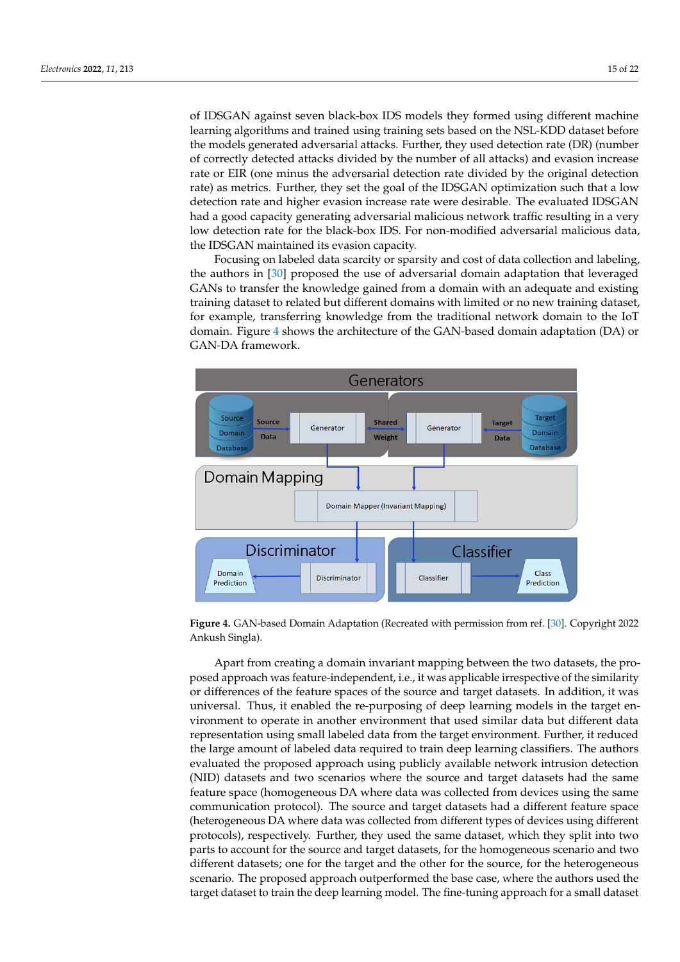of IDSGAN against seven black-box IDS models they formed using different machine learning algorithms and trained using training sets based on the NSL-KDD dataset before the models generated adversarial attacks. Further, they used detection rate (DR) (number of correctly detected attacks divided by the number of all attacks) and evasion increase rate or EIR (one minus the adversarial detection rate divided by the original detection rate) as metrics. Further, they set the goal of the IDSGAN optimization such that a low detection rate and higher evasion increase rate were desirable. The evaluated IDSGAN had a good capacity generating adversarial malicious network traffic resulting in a very low detection rate for the black-box IDS. For non-modified adversarial malicious data, the IDSGAN maintained its evasion capacity.

Focusing on labeled data scarcity or sparsity and cost of data collection and labeling, the authors in [\[30\]](#page-21-8) proposed the use of adversarial domain adaptation that leveraged GANs to transfer the knowledge gained from a domain with an adequate and existing training dataset to related but different domains with limited or no new training dataset, for example, transferring knowledge from the traditional network domain to the IoT domain. Figure [4](#page-14-0) shows the architecture of the GAN-based domain adaptation (DA) or GAN-DA framework.

<span id="page-14-0"></span>

**Figure 4.** GAN-based Domain Adaptation (Recreated with permission from ref. [\[30\]](#page-21-8). Copyright 2022 Ankush Singla).

Apart from creating a domain invariant mapping between the two datasets, the proposed approach was feature-independent, i.e., it was applicable irrespective of the similarity or differences of the feature spaces of the source and target datasets. In addition, it was universal. Thus, it enabled the re-purposing of deep learning models in the target environment to operate in another environment that used similar data but different data representation using small labeled data from the target environment. Further, it reduced the large amount of labeled data required to train deep learning classifiers. The authors evaluated the proposed approach using publicly available network intrusion detection (NID) datasets and two scenarios where the source and target datasets had the same feature space (homogeneous DA where data was collected from devices using the same communication protocol). The source and target datasets had a different feature space (heterogeneous DA where data was collected from different types of devices using different protocols), respectively. Further, they used the same dataset, which they split into two parts to account for the source and target datasets, for the homogeneous scenario and two different datasets; one for the target and the other for the source, for the heterogeneous scenario. The proposed approach outperformed the base case, where the authors used the target dataset to train the deep learning model. The fine-tuning approach for a small dataset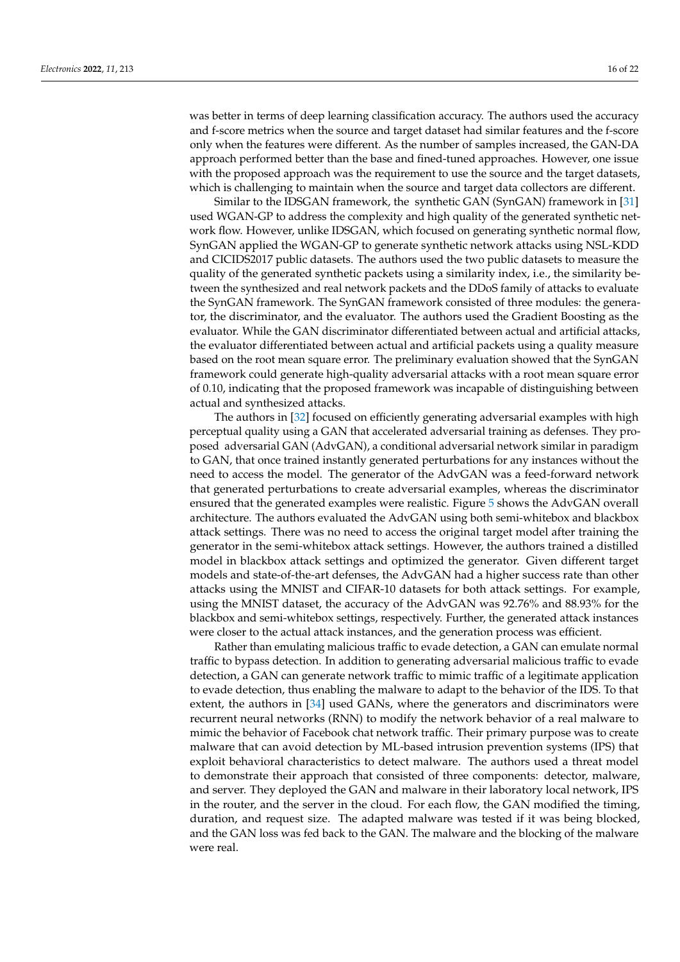was better in terms of deep learning classification accuracy. The authors used the accuracy and f-score metrics when the source and target dataset had similar features and the f-score only when the features were different. As the number of samples increased, the GAN-DA approach performed better than the base and fined-tuned approaches. However, one issue with the proposed approach was the requirement to use the source and the target datasets, which is challenging to maintain when the source and target data collectors are different.

Similar to the IDSGAN framework, the synthetic GAN (SynGAN) framework in [\[31\]](#page-21-9) used WGAN-GP to address the complexity and high quality of the generated synthetic network flow. However, unlike IDSGAN, which focused on generating synthetic normal flow, SynGAN applied the WGAN-GP to generate synthetic network attacks using NSL-KDD and CICIDS2017 public datasets. The authors used the two public datasets to measure the quality of the generated synthetic packets using a similarity index, i.e., the similarity between the synthesized and real network packets and the DDoS family of attacks to evaluate the SynGAN framework. The SynGAN framework consisted of three modules: the generator, the discriminator, and the evaluator. The authors used the Gradient Boosting as the evaluator. While the GAN discriminator differentiated between actual and artificial attacks, the evaluator differentiated between actual and artificial packets using a quality measure based on the root mean square error. The preliminary evaluation showed that the SynGAN framework could generate high-quality adversarial attacks with a root mean square error of 0.10, indicating that the proposed framework was incapable of distinguishing between actual and synthesized attacks.

The authors in [\[32\]](#page-21-10) focused on efficiently generating adversarial examples with high perceptual quality using a GAN that accelerated adversarial training as defenses. They proposed adversarial GAN (AdvGAN), a conditional adversarial network similar in paradigm to GAN, that once trained instantly generated perturbations for any instances without the need to access the model. The generator of the AdvGAN was a feed-forward network that generated perturbations to create adversarial examples, whereas the discriminator ensured that the generated examples were realistic. Figure [5](#page-16-1) shows the AdvGAN overall architecture. The authors evaluated the AdvGAN using both semi-whitebox and blackbox attack settings. There was no need to access the original target model after training the generator in the semi-whitebox attack settings. However, the authors trained a distilled model in blackbox attack settings and optimized the generator. Given different target models and state-of-the-art defenses, the AdvGAN had a higher success rate than other attacks using the MNIST and CIFAR-10 datasets for both attack settings. For example, using the MNIST dataset, the accuracy of the AdvGAN was 92.76% and 88.93% for the blackbox and semi-whitebox settings, respectively. Further, the generated attack instances were closer to the actual attack instances, and the generation process was efficient.

Rather than emulating malicious traffic to evade detection, a GAN can emulate normal traffic to bypass detection. In addition to generating adversarial malicious traffic to evade detection, a GAN can generate network traffic to mimic traffic of a legitimate application to evade detection, thus enabling the malware to adapt to the behavior of the IDS. To that extent, the authors in [\[34\]](#page-21-12) used GANs, where the generators and discriminators were recurrent neural networks (RNN) to modify the network behavior of a real malware to mimic the behavior of Facebook chat network traffic. Their primary purpose was to create malware that can avoid detection by ML-based intrusion prevention systems (IPS) that exploit behavioral characteristics to detect malware. The authors used a threat model to demonstrate their approach that consisted of three components: detector, malware, and server. They deployed the GAN and malware in their laboratory local network, IPS in the router, and the server in the cloud. For each flow, the GAN modified the timing, duration, and request size. The adapted malware was tested if it was being blocked, and the GAN loss was fed back to the GAN. The malware and the blocking of the malware were real.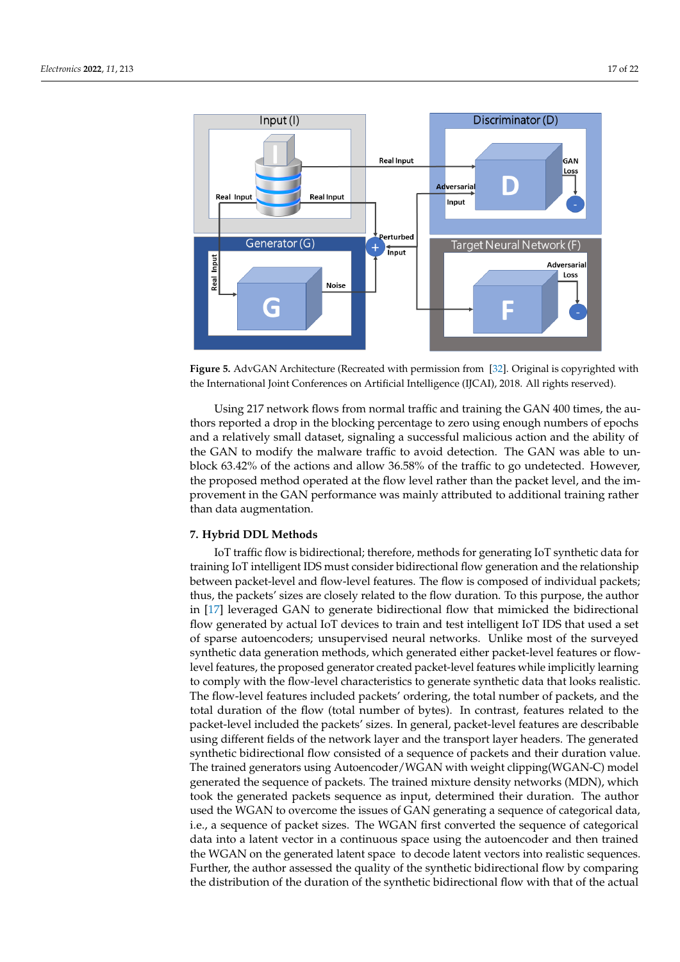<span id="page-16-1"></span>

**Figure 5.** AdvGAN Architecture (Recreated with permission from [\[32\]](#page-21-10). Original is copyrighted with the International Joint Conferences on Artificial Intelligence (IJCAI), 2018. All rights reserved).

Using 217 network flows from normal traffic and training the GAN 400 times, the authors reported a drop in the blocking percentage to zero using enough numbers of epochs and a relatively small dataset, signaling a successful malicious action and the ability of the GAN to modify the malware traffic to avoid detection. The GAN was able to unblock 63.42% of the actions and allow 36.58% of the traffic to go undetected. However, the proposed method operated at the flow level rather than the packet level, and the improvement in the GAN performance was mainly attributed to additional training rather than data augmentation.

## <span id="page-16-0"></span>**7. Hybrid DDL Methods**

IoT traffic flow is bidirectional; therefore, methods for generating IoT synthetic data for training IoT intelligent IDS must consider bidirectional flow generation and the relationship between packet-level and flow-level features. The flow is composed of individual packets; thus, the packets' sizes are closely related to the flow duration. To this purpose, the author in [\[17\]](#page-20-16) leveraged GAN to generate bidirectional flow that mimicked the bidirectional flow generated by actual IoT devices to train and test intelligent IoT IDS that used a set of sparse autoencoders; unsupervised neural networks. Unlike most of the surveyed synthetic data generation methods, which generated either packet-level features or flowlevel features, the proposed generator created packet-level features while implicitly learning to comply with the flow-level characteristics to generate synthetic data that looks realistic. The flow-level features included packets' ordering, the total number of packets, and the total duration of the flow (total number of bytes). In contrast, features related to the packet-level included the packets' sizes. In general, packet-level features are describable using different fields of the network layer and the transport layer headers. The generated synthetic bidirectional flow consisted of a sequence of packets and their duration value. The trained generators using Autoencoder/WGAN with weight clipping(WGAN-C) model generated the sequence of packets. The trained mixture density networks (MDN), which took the generated packets sequence as input, determined their duration. The author used the WGAN to overcome the issues of GAN generating a sequence of categorical data, i.e., a sequence of packet sizes. The WGAN first converted the sequence of categorical data into a latent vector in a continuous space using the autoencoder and then trained the WGAN on the generated latent space to decode latent vectors into realistic sequences. Further, the author assessed the quality of the synthetic bidirectional flow by comparing the distribution of the duration of the synthetic bidirectional flow with that of the actual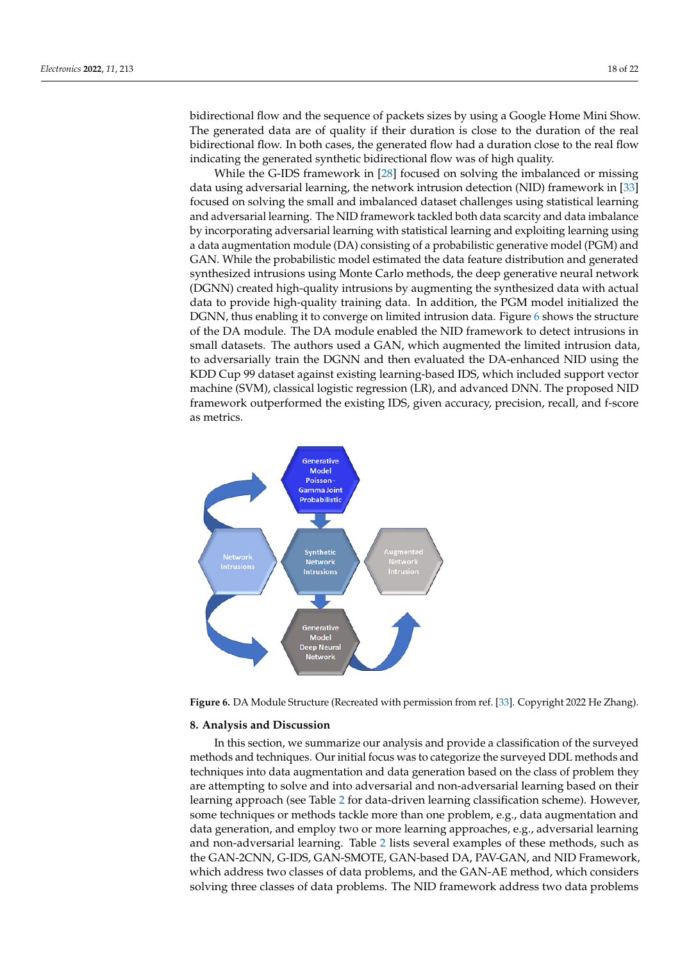bidirectional flow and the sequence of packets sizes by using a Google Home Mini Show. The generated data are of quality if their duration is close to the duration of the real bidirectional flow. In both cases, the generated flow had a duration close to the real flow indicating the generated synthetic bidirectional flow was of high quality.

While the G-IDS framework in [\[28\]](#page-21-6) focused on solving the imbalanced or missing data using adversarial learning, the network intrusion detection (NID) framework in [\[33\]](#page-21-11) focused on solving the small and imbalanced dataset challenges using statistical learning and adversarial learning. The NID framework tackled both data scarcity and data imbalance by incorporating adversarial learning with statistical learning and exploiting learning using a data augmentation module (DA) consisting of a probabilistic generative model (PGM) and GAN. While the probabilistic model estimated the data feature distribution and generated synthesized intrusions using Monte Carlo methods, the deep generative neural network (DGNN) created high-quality intrusions by augmenting the synthesized data with actual data to provide high-quality training data. In addition, the PGM model initialized the DGNN, thus enabling it to converge on limited intrusion data. Figure [6](#page-17-1) shows the structure of the DA module. The DA module enabled the NID framework to detect intrusions in small datasets. The authors used a GAN, which augmented the limited intrusion data, to adversarially train the DGNN and then evaluated the DA-enhanced NID using the KDD Cup 99 dataset against existing learning-based IDS, which included support vector machine (SVM), classical logistic regression (LR), and advanced DNN. The proposed NID framework outperformed the existing IDS, given accuracy, precision, recall, and f-score as metrics.

<span id="page-17-1"></span>

**Figure 6.** DA Module Structure (Recreated with permission from ref. [\[33\]](#page-21-11). Copyright 2022 He Zhang).

#### <span id="page-17-0"></span>**8. Analysis and Discussion**

In this section, we summarize our analysis and provide a classification of the surveyed methods and techniques. Our initial focus was to categorize the surveyed DDL methods and techniques into data augmentation and data generation based on the class of problem they are attempting to solve and into adversarial and non-adversarial learning based on their learning approach (see Table [2](#page-6-1) for data-driven learning classification scheme). However, some techniques or methods tackle more than one problem, e.g., data augmentation and data generation, and employ two or more learning approaches, e.g., adversarial learning and non-adversarial learning. Table [2](#page-6-1) lists several examples of these methods, such as the GAN-2CNN, G-IDS, GAN-SMOTE, GAN-based DA, PAV-GAN, and NID Framework, which address two classes of data problems, and the GAN-AE method, which considers solving three classes of data problems. The NID framework address two data problems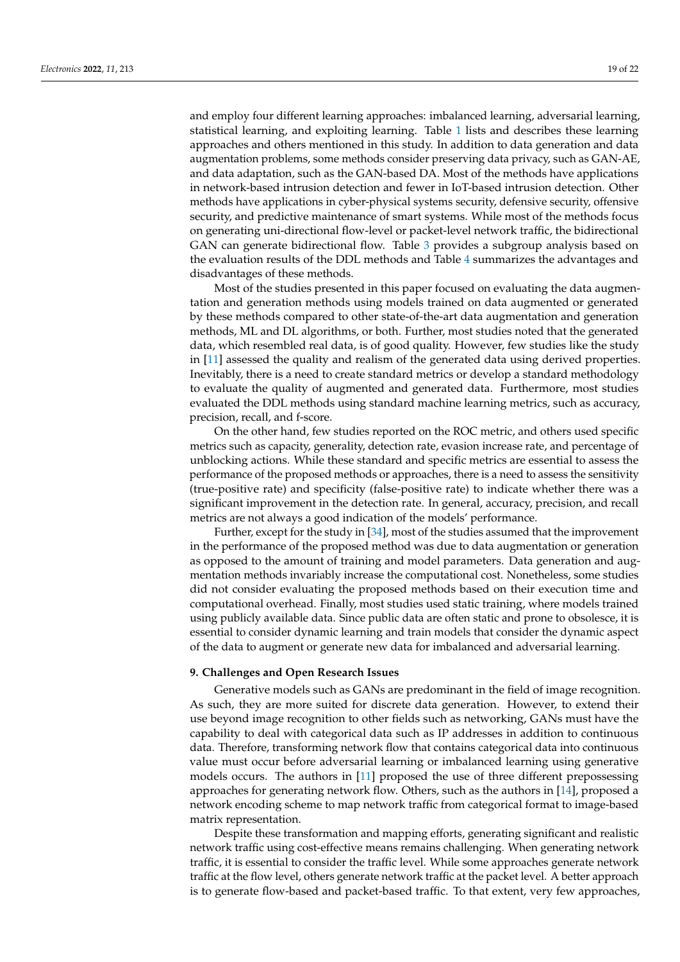and employ four different learning approaches: imbalanced learning, adversarial learning, statistical learning, and exploiting learning. Table [1](#page-6-0) lists and describes these learning approaches and others mentioned in this study. In addition to data generation and data augmentation problems, some methods consider preserving data privacy, such as GAN-AE, and data adaptation, such as the GAN-based DA. Most of the methods have applications in network-based intrusion detection and fewer in IoT-based intrusion detection. Other methods have applications in cyber-physical systems security, defensive security, offensive security, and predictive maintenance of smart systems. While most of the methods focus on generating uni-directional flow-level or packet-level network traffic, the bidirectional GAN can generate bidirectional flow. Table [3](#page-7-0) provides a subgroup analysis based on the evaluation results of the DDL methods and Table [4](#page-8-1) summarizes the advantages and disadvantages of these methods.

Most of the studies presented in this paper focused on evaluating the data augmentation and generation methods using models trained on data augmented or generated by these methods compared to other state-of-the-art data augmentation and generation methods, ML and DL algorithms, or both. Further, most studies noted that the generated data, which resembled real data, is of good quality. However, few studies like the study in [\[11\]](#page-20-14) assessed the quality and realism of the generated data using derived properties. Inevitably, there is a need to create standard metrics or develop a standard methodology to evaluate the quality of augmented and generated data. Furthermore, most studies evaluated the DDL methods using standard machine learning metrics, such as accuracy, precision, recall, and f-score.

On the other hand, few studies reported on the ROC metric, and others used specific metrics such as capacity, generality, detection rate, evasion increase rate, and percentage of unblocking actions. While these standard and specific metrics are essential to assess the performance of the proposed methods or approaches, there is a need to assess the sensitivity (true-positive rate) and specificity (false-positive rate) to indicate whether there was a significant improvement in the detection rate. In general, accuracy, precision, and recall metrics are not always a good indication of the models' performance.

Further, except for the study in [\[34\]](#page-21-12), most of the studies assumed that the improvement in the performance of the proposed method was due to data augmentation or generation as opposed to the amount of training and model parameters. Data generation and augmentation methods invariably increase the computational cost. Nonetheless, some studies did not consider evaluating the proposed methods based on their execution time and computational overhead. Finally, most studies used static training, where models trained using publicly available data. Since public data are often static and prone to obsolesce, it is essential to consider dynamic learning and train models that consider the dynamic aspect of the data to augment or generate new data for imbalanced and adversarial learning.

#### <span id="page-18-0"></span>**9. Challenges and Open Research Issues**

Generative models such as GANs are predominant in the field of image recognition. As such, they are more suited for discrete data generation. However, to extend their use beyond image recognition to other fields such as networking, GANs must have the capability to deal with categorical data such as IP addresses in addition to continuous data. Therefore, transforming network flow that contains categorical data into continuous value must occur before adversarial learning or imbalanced learning using generative models occurs. The authors in [\[11\]](#page-20-14) proposed the use of three different prepossessing approaches for generating network flow. Others, such as the authors in [\[14\]](#page-20-12), proposed a network encoding scheme to map network traffic from categorical format to image-based matrix representation.

Despite these transformation and mapping efforts, generating significant and realistic network traffic using cost-effective means remains challenging. When generating network traffic, it is essential to consider the traffic level. While some approaches generate network traffic at the flow level, others generate network traffic at the packet level. A better approach is to generate flow-based and packet-based traffic. To that extent, very few approaches,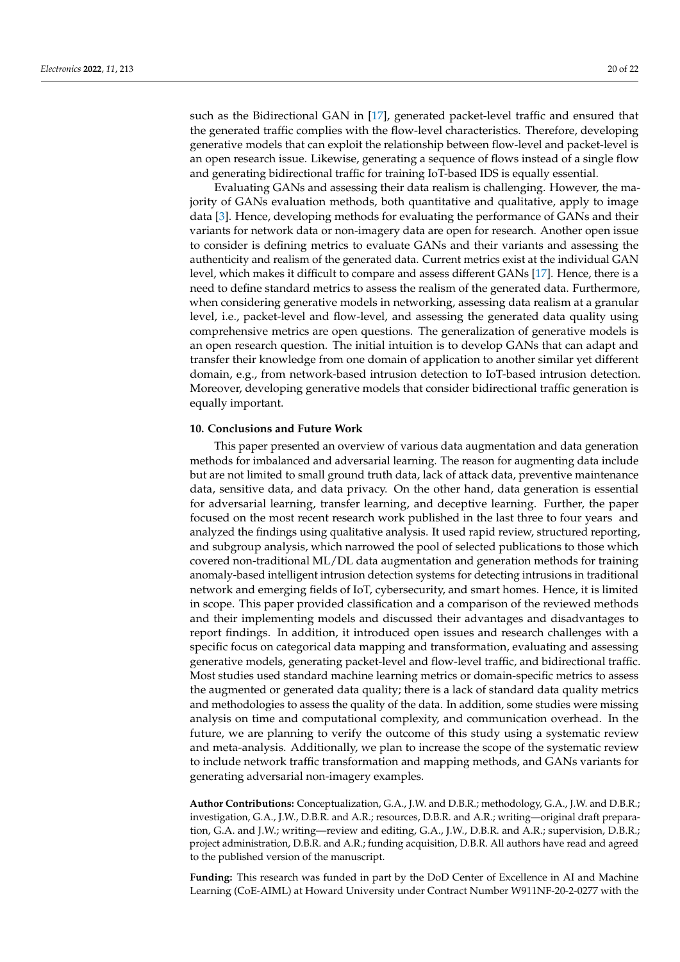such as the Bidirectional GAN in [\[17\]](#page-20-16), generated packet-level traffic and ensured that the generated traffic complies with the flow-level characteristics. Therefore, developing generative models that can exploit the relationship between flow-level and packet-level is an open research issue. Likewise, generating a sequence of flows instead of a single flow and generating bidirectional traffic for training IoT-based IDS is equally essential.

Evaluating GANs and assessing their data realism is challenging. However, the majority of GANs evaluation methods, both quantitative and qualitative, apply to image data [\[3\]](#page-20-2). Hence, developing methods for evaluating the performance of GANs and their variants for network data or non-imagery data are open for research. Another open issue to consider is defining metrics to evaluate GANs and their variants and assessing the authenticity and realism of the generated data. Current metrics exist at the individual GAN level, which makes it difficult to compare and assess different GANs [\[17\]](#page-20-16). Hence, there is a need to define standard metrics to assess the realism of the generated data. Furthermore, when considering generative models in networking, assessing data realism at a granular level, i.e., packet-level and flow-level, and assessing the generated data quality using comprehensive metrics are open questions. The generalization of generative models is an open research question. The initial intuition is to develop GANs that can adapt and transfer their knowledge from one domain of application to another similar yet different domain, e.g., from network-based intrusion detection to IoT-based intrusion detection. Moreover, developing generative models that consider bidirectional traffic generation is equally important.

## <span id="page-19-0"></span>**10. Conclusions and Future Work**

This paper presented an overview of various data augmentation and data generation methods for imbalanced and adversarial learning. The reason for augmenting data include but are not limited to small ground truth data, lack of attack data, preventive maintenance data, sensitive data, and data privacy. On the other hand, data generation is essential for adversarial learning, transfer learning, and deceptive learning. Further, the paper focused on the most recent research work published in the last three to four years and analyzed the findings using qualitative analysis. It used rapid review, structured reporting, and subgroup analysis, which narrowed the pool of selected publications to those which covered non-traditional ML/DL data augmentation and generation methods for training anomaly-based intelligent intrusion detection systems for detecting intrusions in traditional network and emerging fields of IoT, cybersecurity, and smart homes. Hence, it is limited in scope. This paper provided classification and a comparison of the reviewed methods and their implementing models and discussed their advantages and disadvantages to report findings. In addition, it introduced open issues and research challenges with a specific focus on categorical data mapping and transformation, evaluating and assessing generative models, generating packet-level and flow-level traffic, and bidirectional traffic. Most studies used standard machine learning metrics or domain-specific metrics to assess the augmented or generated data quality; there is a lack of standard data quality metrics and methodologies to assess the quality of the data. In addition, some studies were missing analysis on time and computational complexity, and communication overhead. In the future, we are planning to verify the outcome of this study using a systematic review and meta-analysis. Additionally, we plan to increase the scope of the systematic review to include network traffic transformation and mapping methods, and GANs variants for generating adversarial non-imagery examples.

**Author Contributions:** Conceptualization, G.A., J.W. and D.B.R.; methodology, G.A., J.W. and D.B.R.; investigation, G.A., J.W., D.B.R. and A.R.; resources, D.B.R. and A.R.; writing—original draft preparation, G.A. and J.W.; writing—review and editing, G.A., J.W., D.B.R. and A.R.; supervision, D.B.R.; project administration, D.B.R. and A.R.; funding acquisition, D.B.R. All authors have read and agreed to the published version of the manuscript.

**Funding:** This research was funded in part by the DoD Center of Excellence in AI and Machine Learning (CoE-AIML) at Howard University under Contract Number W911NF-20-2-0277 with the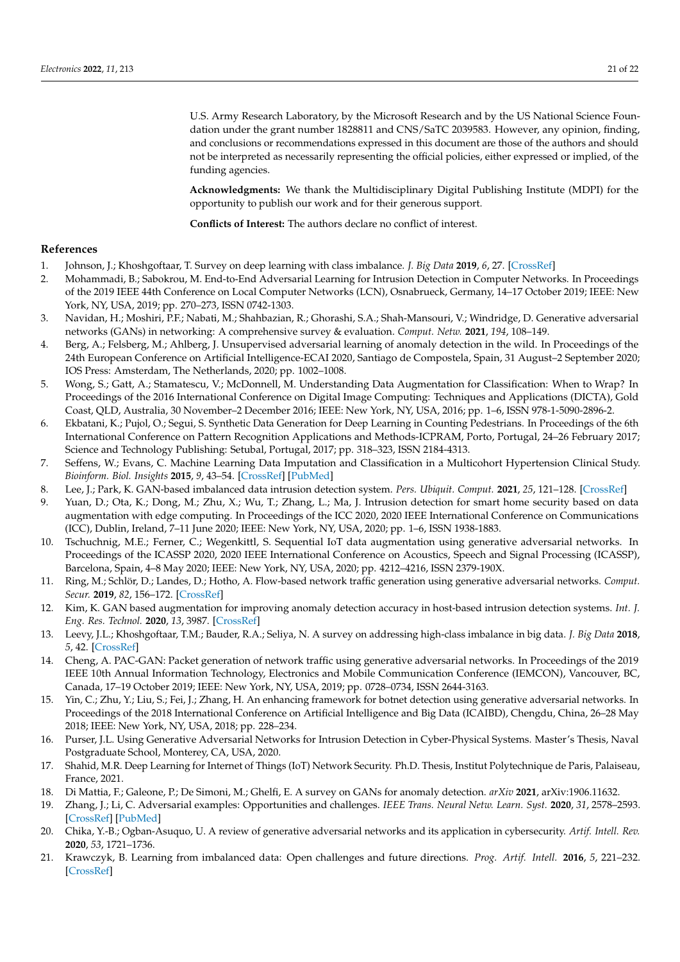U.S. Army Research Laboratory, by the Microsoft Research and by the US National Science Foundation under the grant number 1828811 and CNS/SaTC 2039583. However, any opinion, finding, and conclusions or recommendations expressed in this document are those of the authors and should not be interpreted as necessarily representing the official policies, either expressed or implied, of the funding agencies.

**Acknowledgments:** We thank the Multidisciplinary Digital Publishing Institute (MDPI) for the opportunity to publish our work and for their generous support.

**Conflicts of Interest:** The authors declare no conflict of interest.

# **References**

- <span id="page-20-0"></span>1. Johnson, J.; Khoshgoftaar, T. Survey on deep learning with class imbalance. *J. Big Data* **2019**, *6*, 27. [\[CrossRef\]](http://doi.org/10.1186/s40537-019-0192-5)
- <span id="page-20-1"></span>2. Mohammadi, B.; Sabokrou, M. End-to-End Adversarial Learning for Intrusion Detection in Computer Networks. In Proceedings of the 2019 IEEE 44th Conference on Local Computer Networks (LCN), Osnabrueck, Germany, 14–17 October 2019; IEEE: New York, NY, USA, 2019; pp. 270–273, ISSN 0742-1303.
- <span id="page-20-2"></span>3. Navidan, H.; Moshiri, P.F.; Nabati, M.; Shahbazian, R.; Ghorashi, S.A.; Shah-Mansouri, V.; Windridge, D. Generative adversarial networks (GANs) in networking: A comprehensive survey & evaluation. *Comput. Netw.* **2021**, *194*, 108–149.
- <span id="page-20-4"></span>4. Berg, A.; Felsberg, M.; Ahlberg, J. Unsupervised adversarial learning of anomaly detection in the wild. In Proceedings of the 24th European Conference on Artificial Intelligence-ECAI 2020, Santiago de Compostela, Spain, 31 August–2 September 2020; IOS Press: Amsterdam, The Netherlands, 2020; pp. 1002–1008.
- <span id="page-20-5"></span>5. Wong, S.; Gatt, A.; Stamatescu, V.; McDonnell, M. Understanding Data Augmentation for Classification: When to Wrap? In Proceedings of the 2016 International Conference on Digital Image Computing: Techniques and Applications (DICTA), Gold Coast, QLD, Australia, 30 November–2 December 2016; IEEE: New York, NY, USA, 2016; pp. 1–6, ISSN 978-1-5090-2896-2.
- <span id="page-20-6"></span>6. Ekbatani, K.; Pujol, O.; Segui, S. Synthetic Data Generation for Deep Learning in Counting Pedestrians. In Proceedings of the 6th International Conference on Pattern Recognition Applications and Methods-ICPRAM, Porto, Portugal, 24–26 February 2017; Science and Technology Publishing: Setubal, Portugal, 2017; pp. 318–323, ISSN 2184-4313.
- <span id="page-20-7"></span>7. Seffens, W.; Evans, C. Machine Learning Data Imputation and Classification in a Multicohort Hypertension Clinical Study. *Bioinform. Biol. Insights* **2015**, *9*, 43–54. [\[CrossRef\]](http://dx.doi.org/10.4137/BBI.S29473) [\[PubMed\]](http://www.ncbi.nlm.nih.gov/pubmed/27199552)
- <span id="page-20-10"></span>8. Lee, J.; Park, K. GAN-based imbalanced data intrusion detection system. *Pers. Ubiquit. Comput.* **2021**, *25*, 121–128. [\[CrossRef\]](http://dx.doi.org/10.1007/s00779-019-01332-y)
- <span id="page-20-3"></span>9. Yuan, D.; Ota, K.; Dong, M.; Zhu, X.; Wu, T.; Zhang, L.; Ma, J. Intrusion detection for smart home security based on data augmentation with edge computing. In Proceedings of the ICC 2020, 2020 IEEE International Conference on Communications (ICC), Dublin, Ireland, 7–11 June 2020; IEEE: New York, NY, USA, 2020; pp. 1–6, ISSN 1938-1883.
- <span id="page-20-8"></span>10. Tschuchnig, M.E.; Ferner, C.; Wegenkittl, S. Sequential IoT data augmentation using generative adversarial networks. In Proceedings of the ICASSP 2020, 2020 IEEE International Conference on Acoustics, Speech and Signal Processing (ICASSP), Barcelona, Spain, 4–8 May 2020; IEEE: New York, NY, USA, 2020; pp. 4212–4216, ISSN 2379-190X.
- <span id="page-20-14"></span>11. Ring, M.; Schlör, D.; Landes, D.; Hotho, A. Flow-based network traffic generation using generative adversarial networks. *Comput. Secur.* **2019**, *82*, 156–172. [\[CrossRef\]](http://dx.doi.org/10.1016/j.cose.2018.12.012)
- <span id="page-20-9"></span>12. Kim, K. GAN based augmentation for improving anomaly detection accuracy in host-based intrusion detection systems. *Int. J. Eng. Res. Technol.* **2020**, *13*, 3987. [\[CrossRef\]](http://dx.doi.org/10.37624/IJERT/13.11.2020.3987-3996)
- <span id="page-20-11"></span>13. Leevy, J.L.; Khoshgoftaar, T.M.; Bauder, R.A.; Seliya, N. A survey on addressing high-class imbalance in big data. *J. Big Data* **2018**, *5*, 42. [\[CrossRef\]](http://dx.doi.org/10.1186/s40537-018-0151-6)
- <span id="page-20-12"></span>14. Cheng, A. PAC-GAN: Packet generation of network traffic using generative adversarial networks. In Proceedings of the 2019 IEEE 10th Annual Information Technology, Electronics and Mobile Communication Conference (IEMCON), Vancouver, BC, Canada, 17–19 October 2019; IEEE: New York, NY, USA, 2019; pp. 0728–0734, ISSN 2644-3163.
- <span id="page-20-13"></span>15. Yin, C.; Zhu, Y.; Liu, S.; Fei, J.; Zhang, H. An enhancing framework for botnet detection using generative adversarial networks. In Proceedings of the 2018 International Conference on Artificial Intelligence and Big Data (ICAIBD), Chengdu, China, 26–28 May 2018; IEEE: New York, NY, USA, 2018; pp. 228–234.
- <span id="page-20-15"></span>16. Purser, J.L. Using Generative Adversarial Networks for Intrusion Detection in Cyber-Physical Systems. Master's Thesis, Naval Postgraduate School, Monterey, CA, USA, 2020.
- <span id="page-20-16"></span>17. Shahid, M.R. Deep Learning for Internet of Things (IoT) Network Security. Ph.D. Thesis, Institut Polytechnique de Paris, Palaiseau, France, 2021.
- <span id="page-20-17"></span>18. Di Mattia, F.; Galeone, P.; De Simoni, M.; Ghelfi, E. A survey on GANs for anomaly detection. *arXiv* **2021**, arXiv:1906.11632.
- <span id="page-20-18"></span>19. Zhang, J.; Li, C. Adversarial examples: Opportunities and challenges. *IEEE Trans. Neural Netw. Learn. Syst.* **2020**, *31*, 2578–2593. [\[CrossRef\]](http://dx.doi.org/10.1109/TNNLS.2019.2933524) [\[PubMed\]](http://www.ncbi.nlm.nih.gov/pubmed/31722487)
- <span id="page-20-19"></span>20. Chika, Y.-B.; Ogban-Asuquo, U. A review of generative adversarial networks and its application in cybersecurity. *Artif. Intell. Rev.* **2020**, *53*, 1721–1736.
- <span id="page-20-20"></span>21. Krawczyk, B. Learning from imbalanced data: Open challenges and future directions. *Prog. Artif. Intell.* **2016**, *5*, 221–232. [\[CrossRef\]](http://dx.doi.org/10.1007/s13748-016-0094-0)